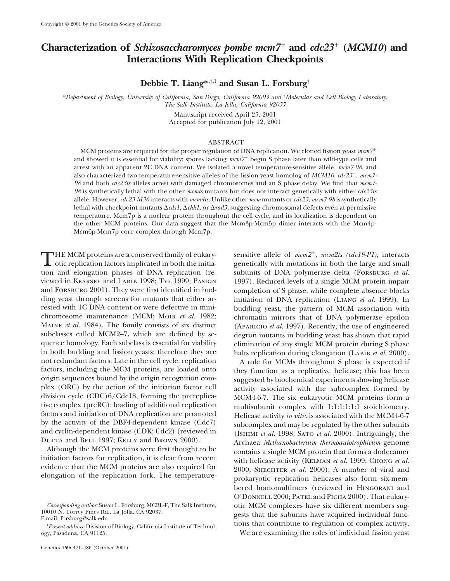# **Characterization of** *Schizosaccharomyces pombe mcm7* **and** *cdc23* **(***MCM10***) and Interactions With Replication Checkpoints**

**Debbie T. Liang\*,†,1 and Susan L. Forsburg†**

\**Department of Biology, University of California, San Diego, California 92093 and* † *Molecular and Cell Biology Laboratory, The Salk Institute, La Jolla, California 92037*

> Manuscript received April 25, 2001 Accepted for publication July 12, 2001

## ABSTRACT

MCM proteins are required for the proper regulation of DNA replication. We cloned fission yeast *mcm7* and showed it is essential for viability; spores lacking  $mcm<sup>7</sup>$  begin S phase later than wild-type cells and arrest with an apparent 2C DNA content. We isolated a novel temperature-sensitive allele, *mcm7-98*, and also characterized two temperature-sensitive alleles of the fission yeast homolog of *MCM10*, *cdc23*. *mcm7- 98* and both *cdc23ts* alleles arrest with damaged chromosomes and an S phase delay. We find that *mcm7- 98* is synthetically lethal with the other *mcmts* mutants but does not interact genetically with either *cdc23ts* allele. However,*cdc23-M36* interacts with *mcm4ts.* Unlike other *mcm* mutants or *cdc23*, *mcm7-98* is synthetically lethal with checkpoint mutants  $\Delta$ *cds1,*  $\Delta$ *chk1,* or  $\Delta$ *rad3,* suggesting chromosomal defects even at permissive temperature. Mcm7p is a nuclear protein throughout the cell cycle, and its localization is dependent on the other MCM proteins. Our data suggest that the Mcm3p-Mcm5p dimer interacts with the Mcm4p-Mcm6p-Mcm7p core complex through Mcm7p.

THE MCM proteins are a conserved family of eukary-<br>
otic replication factors implicated in both the initia-<br>
tics and algorithm as happens of DMA prollection (computed in the late of DNA production of DNA production (co tion and elongation phases of DNA replication (re- subunits of DNA polymerase delta (Forsburg *et al.* viewed in Kearsey and Labib 1998; Tye 1999; Pasion 1997). Reduced levels of a single MCM protein impair and Forsburg 2001). They were first identified in bud- completion of S phase, while complete absence blocks ding yeast through screens for mutants that either ar-<br>
initiation of DNA replication (LIANG *et al.* 1999). In<br>
rested with 1C DNA content or were defective in mini-<br>
budding yeast, the pattern of MCM association with chromosome maintenance (MCM; Moir *et al.* 1982; chromatin mirrors that of DNA polymerase epsilon MAINE *et al.* 1984). The family consists of six distinct (APARICIO *et al.* 1997). Recently, the use of engineered subclasses called MCM2–7, which are defined by se-<br>degron mutants in budding veast has shown that rapid quence homology. Each subclass is essential for viability elimination of any single MCM protein during S phase in both budding and fission yeasts; therefore they are halts replication during elongation (LABIB *et al.* 2000).<br>
not redundant factors. Late in the cell cycle, replication A role for MCMs throughout S phase is expected i not redundant factors. Late in the cell cycle, replication A role for MCMs throughout S phase is expected if factors, including the MCM proteins, are loaded onto they function as a replicative helicase: this has been factors, including the MCM proteins, are loaded onto they function as a replicative helicase; this has been<br>origin sequences bound by the origin recognition com-<br>suggested by biochemical experiments showing helicase origin sequences bound by the origin recognition com-<br>plex (ORC) by the action of the initiation factor cell<br>activity associated with the subcomplex formed by plex (ORC) by the action of the initiation factor cell activity associated with the subcomplex formed by division cycle (CDC)6/Cdc18, forming the prereplica-<br>MCM4-6-7. The six eukaryotic MCM proteins form a division cycle (CDC)6/Cdc18, forming the prereplica-<br>tive complex (preRC); loading of additional replication<br>multisubunity complex with 1:1:1:1:1:1 stoichiometry tive complex (preRC); loading of additional replication<br>factors and initiation of DNA replication are promoted<br>by the activity of the DBF4-dependent kinase (Cdc7) subcomplex and may be regulated by the other subunits

budding yeast, the pattern of MCM association with degron mutants in budding yeast has shown that rapid

by the activity of the DBF4-dependent kinase (Cdc7) subcomplex and may be regulated by the other subunits<br>and cyclin-dependent kinase (CDK; Cdc2) (reviewed in (ISHIMI *et al.* 1998; SATO *et al.* 2000). Intriguingly, the<br>D evidence that the MCM proteins are also required for evidence that the MCM proteins are also required for al. 2000; SHECHTER *et al.* 2000). A number of viral and elongation of the replication fork. The temperature- prokar bered homomultimers (reviewed in Hingorani and O'Donnell 2000; Patel and Picha 2000). That eukary-Corresponding author: Susan L. Forsburg, MCBL-F, The Salk Institute,<br>
10010 N. Torrey Pines Rd., La Jolla, CA 92037.<br>
E-mail: forsburg@salk.edu<br>
Lexerat address: Division of Biology. Colifornia Institute of Technol tions t

ogy, Pasadena, CA 91125. We are examining the roles of individual fission yeast

<sup>&</sup>lt;sup>1</sup>Present address: Division of Biology, California Institute of Technol-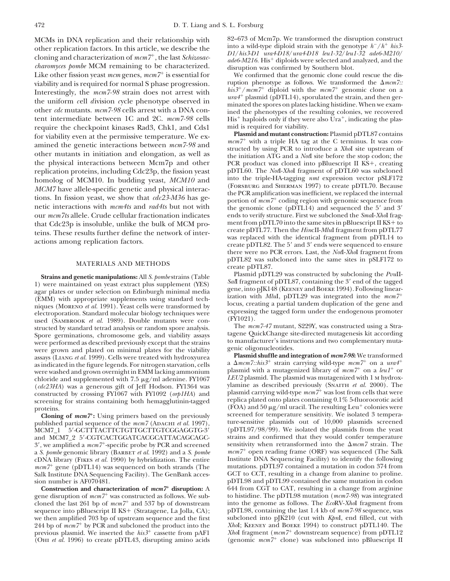other replication factors. In this article, we describe the<br>cloning and characterization of  $mcm$ {\gamma^+}, the last *Schizosac*-<br>*charomyces pombe* MCM remaining to be characterized.<br>Like other fission yeast  $mcm$  genes,  $mcm$ Like other fission yeast  $mcm$  genes,  $mcm<sup>7+</sup>$  is essential for viability and is required for normal S phase progression. Tuption phenotype as follows. We transformed the  $\Delta m c m$ .<br>Intercetingly, the mean 7.08 strain does not error with  $his3^{+}/m c m 7^{+}$  diploid with the mean  $7^{+}$  geno Interestingly, the mcm7-98 strain does not arrest with<br>the uniform cell division cycle phenotype observed in<br>other dc mutants. mcm7-98 cells arrest with a DNA con-<br>tent intermediate between 1C and 2C. mcm7-98 cells<br>the sp require the checkpoint kinases Rad3, Chk1, and Cds1 mid is required for viability.<br> **Plasmid and mutant construction:** Plasmid pDTL87 contains for viability even at the permissive temperature. We ex-<br>amined the genetic interactions between  $mcm$ 7-98 and<br>other mutants in initiation and elongation, as well as<br>other mutants in initiation and elongation, as well as<br>t the physical interactions between Mcm7p and other PCR product was cloned into pBluescript II KS+, creating<br>replication proteins, including Cdc23p, the fission yeast pDTL60. The *Not*I-Xhol fragment of pDTL60 was subcloned replication proteins, including Cdc23p, the fission yeast pDTL60. The *Not*I-*Xho*I fragment of pDTL60 was subcloned<br>homolog of MCM10. In budding yeast MCM10 and into the triple-HA-tagging *nmt* expression vector pSLF172 homolog of MCM10. In budding yeast, *MCM10* and the triple-HA-tagging *nmt* expression vector pSLF172<br>MCM71<sub>1</sub> and MCM71<sub>1</sub> and the set of a security and algorithmical interest. MCM7 have allele-specific genetic and physical interactions. In fission yeast, we show that  $cdc23-M36$  has generic interactions with  $mcm4t s$  and  $rad4t s$  but not with<br>netic interactions with  $mcm4t s$  and  $rad4t s$  but not with<br>o our *mcm7ts* allele. Crude cellular fractionation indicates ends to verify structure. First we subcloned the *Sma*I-*Xho*I fragthat  $Cdc23p$  is insoluble, unlike the bulk of MCM pro-<br>teins. These results further define the network of inter-<br>create pDTL77. Then the HincII-MluI fragment from pDTL77

(EMM) with appropriate supplements using standard techniques (MORENO *et al.* 1991). Yeast cells were transformed by<br>
electroporation. Standard molecular biology techniques were<br>
used (SAMBROOK *et al.* 1989). Double muta Spore germinations, chromosome gels, and viability assays the quest change site-directed mutagenesis kit according<br>were performed as described previously except that the strains to manufacturer's instructions and two compl were grown and plated on minimal plates for the viability genic oligonucleotides.<br> **Plasmid shuffle and integration of mcm7-98:** We transformed assays (LIANG et al. 1999). Cells were treated with hydroxyurea assays (LIANG *et al.* 1999). Cells were treated with hydroxyurea as indicated in the figure legends. For nitrogen starvation, cells were washed and grown overnight in EMM lacking ammonium<br>
under the plasmid with a mutagenized library of  $mcm<sup>+</sup>$  on a leaf<sup>+</sup> or<br>
chloride and supplemented with 7.5  $\mu$ g/ml adenine. FY1067 LEU2 plasmid. The plasmid wa *LEU2* plasmid. The plasmid was mutagenized with 1 m hydrox-<br> *cdc23HA*) was a generous gift of leff Hodson. FY1364 was supermine as described previously (SNAITH *et al.* 2000). The (*cdc23HA*) was a generous gift of Jeff Hodson. FY1364 was constructed by crossing FY1067 with FY1092 (*orp1HA*) and plasmid carrying wild-type  $mcm<sup>7+</sup>$  was lost from cells that were screening for strains containing both hemagglutinin-tagged replica plated onto plates containi screening for strains containing both hemagglutinin-tagged

published partial sequence of the  $mcm7$  (ADACHI *et al.* 1997), MCM7\_1 5'-GCTTTACTTCTGTTGCTTGTCGGAGGTG-3' and MCM7\_2 5'-CGTCACTGGATCACGCATTACAGCAGC- strains and confirmed that they would confer temperature 3', we amplified a  $mcm$ <sup>+</sup>-specific probe by PCR and screened sensitivity when retransformed into the  $\Delta mcm$  strain. The a S. bombe genomic library (BARBET et al. 1992) and a S. bombe  $mcm$ <sup>+</sup> open reading frame (ORF) was a *S. pombe* genomic library (BARBET *et al.* 1992) and a *S. pombe* on *mcm7*<sup>+</sup> open reading frame (ORF) was sequenced (The Salk cDNA library (FIRES *et al.* 1990) by hybridization. The entire **independent CDNA** Sequenci cDNA library (Fikes *et al.* 1990) by hybridization. The entire Institute DNA Sequencing Facility) to identify the following  $mcm<sup>+</sup>$  gene (pDTL14) was sequenced on both strands (The mutations. pDTL97 contained a mutatio *mcm7*<sup>+</sup> gene (pDTL14) was sequenced on both strands (The mutations. pDTL97 contained a mutation in codon 374 from Salk Institute DNA Sequencing Facility). The GenBank acces- GCT to CCT, resulting in a change from alanine Salk Institute DNA Sequencing Facility). The GenBank acces-

gene disruption of  $mcm7$ <sup>+</sup> was constructed as follows. We sub-<br>cloned the last 261 bp of  $mcm7$ <sup>+</sup> and 537 bp of downstream into the genome as follows. The *Eco*RV-Xhol fragment from sequence into pBluescript II KS+ (Stratagene, La Jolla, CA); pDTL98, containing the last 1.4 kb of  $mcm$ 7-98 sequence, was we then amplified 703 bp of upstream sequence and the first subcloned into pJK210 (cut with *Kpn*I, we then amplified 703 bp of upstream sequence and the first subcloned into pJK210 (cut with *Kpn*I, end filled, cut with 244 bp of  $mcm^{-+}$  by PCR and subcloned the product into the *Xho*I; KEENEY and BOEKE 1994) to constru 244 bp of  $mcm7$ <sup>+</sup> by PCR and subcloned the product into the *Xho*I; KEENEY and BOEKE 1994) to construct pDTL140. The previous plasmid. We inserted the  $his3$ <sup>+</sup> cassette from pAF1 *Xho*I fragment ( $mcm7$ <sup>+</sup> downstream sequen *XhoI* fragment (*mcm7*<sup>+</sup> downstream sequence) from pDTL12 (OHI *et al.* 1996) to create pDTL43, disrupting amino acids (genomic *mcm7*<sup>+</sup> clone) was subcloned into pBluescript II (OHI *et al.* 1996) to create pDTL43, disrupting amino acids

MCMs in DNA replication and their relationship with  $\frac{82-673}{8}$  of Mcm7p. We transformed the disruption construct other replication factors. In this article we describe the units a wild-type diploid strain with the gen

ruption phenotype as follows. We transformed the  $\Delta mcm$ 7:: His<sup>+</sup> haploids only if they were also Ura<sup>+</sup>, indicating the plas-<br>mid is required for viability.

teins. These results further define the network of inter-<br>actions among replication factors.<br>actions among replication factors.<br>actions among replication factors.<br>actions among replication factors.<br>actions among replicatio there were no PCR errors. Last, the *Not*I-*Xho*I fragment from MATERIALS AND METHODS pDTL82 was subcloned into the same sites in pSLF172 to<br>create pDTL87.<br>Plasmid pDTL29 was constructed by subcloning the *Pvu*II-

Strains and genetic manipulations: All S. pombestrains (Table<br>
1) were maintained on yeast extract plus supplement (YES)<br>
2008 Sall fragment of pDTL87, containing the 3' end of the tagged<br>
2011-29 was constructed by subclo

a  $\Delta mcm$ 7::his3<sup>+</sup> strain carrying wild-type  $mcm$ 7<sup>+</sup> on a  $ura4$ <sup>+</sup> proteins.<br> **Cloning of mcm7**: Using primers based on the previously screened for temperature sensitivity. We isolated 3 temperature screened for temperature sensitivity. We isolated 3 temperature sensitivity. **Cloning of** *mcm7***<sup>+</sup>:** Using primers based on the previously screened for temperature sensitivity. We isolated 3 tempera-<br>
under the mem<sup>7</sup> (ADACHI *et al.* 1997), ture-sensitive plasmids out of 10,000 plasmids screened (pDTL97/98/99). We isolated the plasmids from the yeast sensitivity when retransformed into the  $\Delta mcm$ 7 strain. The sion number is AF070481.<br> **Construction and characterization of mem**<sup>7+</sup> disruption: A 644 from CGT to CAT, resulting in a change from arginine **Construction and characterization of**  $mcm7$ **<sup>+</sup> disruption:** A 644 from CGT to CAT, resulting in a change from arginine the disruption of  $mcm7$ <sup>+</sup> was constructed as follows. We sub-<br>to histidine. The pDTL98 mutation ( $mcm7$ cloned the last 261 bp of  $mcm<sup>+</sup>$  and 537 bp of downstream into the genome as follows. The *Eco*RV-*Xho*I fragment from sequence into pBluescript II KS+ (Stratagene, La Jolla, CA); pDTL98, containing the last 1.4 kb of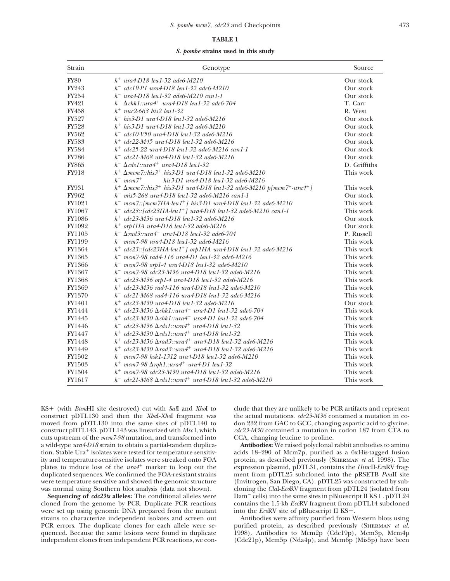### **TABLE 1**

*S. pombe* **strains used in this study**

| Strain        | Genotype                                                                                                            | Source       |  |
|---------------|---------------------------------------------------------------------------------------------------------------------|--------------|--|
| <b>FY80</b>   | $h^{+}$ ura4-D18 leu1-32 ade6-M210                                                                                  | Our stock    |  |
| FY243         | $h^-$ cdc19-P1 ura4-D18 leu1-32 ade6-M210                                                                           | Our stock    |  |
| FY254         | $h^-$ ura4-D18 leu1-32 ade6-M210 can1-1                                                                             | Our stock    |  |
| FY421         | $h^{-} \Delta chkl::ura4^{+}$ ura4-D18 leu1-32 ade6-704                                                             | T. Carr      |  |
| FY458         | $h^{+}$ nuc2-663 his 2 leu1-32                                                                                      | R. West      |  |
| FY527         | $h^-$ his 3-D1 ura 4-D18 leu1-32 ade6-M216                                                                          | Our stock    |  |
| <b>FY528</b>  | $h^+$ his 3-D1 ura 4-D18 leu 1-32 ade6-M210                                                                         | Our stock    |  |
| FY562         | $h^-$ cdc10-V50 ura4-D18 leu1-32 ade6-M216                                                                          | Our stock    |  |
| FY583         | $h^+$ cdc22-M45 ura4-D18 leu1-32 ade6-M216                                                                          | Our stock    |  |
| <b>FY584</b>  | $h^+$ cdc25-22 ura4-D18 leu1-32 ade6-M216 can1-1                                                                    | Our stock    |  |
| <b>FY786</b>  | $h^-$ cdc21-M68 ura4-D18 leu1-32 ade6-M216                                                                          | Our stock    |  |
| <b>FY865</b>  | $h^- \Delta c ds1$ ::ura4 <sup>+</sup> ura4-D18 leu1-32                                                             | D. Griffiths |  |
| FY918         | $h^{+} \Delta mcm$ 7::his3 <sup>+</sup> his3-D1 ura4-D18 leu1-32 ade6-M210                                          | This work    |  |
|               | $h^-$ mcm $7^+$<br>his 3-D1 ura 4-D18 leu 1-32 ade6-M216                                                            |              |  |
| FY931         | $h^{+} \Delta mcm$ 7::his3 <sup>+</sup> his3-D1 ura4-D18 leu1-32 ade6-M210 p[mcm7 <sup>+</sup> -ura4 <sup>+</sup> ] | This work    |  |
| FY962         | $h^-$ mis5-268 ura4-D18 leu1-32 ade6-M216 can1-1                                                                    | Our stock    |  |
| FY1021        | $h^-$ mcm7::[mcm7HA-leu1 <sup>+</sup> ] his3-D1 ura4-D18 leu1-32 ade6-M210                                          | This work    |  |
| FY1067        | $h^-$ cdc23::[cdc23HA-leu1 <sup>+</sup> ] ura4-D18 leu1-32 ade6-M210 can1-1                                         | This work    |  |
| FY1086        | $h^+$ cdc23-M36 ura4-D18 leu1-32 ade6-M216                                                                          | Our stock    |  |
| FY1092        | $h^+$ orp1HA ura4-D18 leu1-32 ade6-M216                                                                             | Our stock    |  |
| FY1105        | $h^- \Delta rad$ 3::ura4 <sup>+</sup> ura4-D18 leu1-32 ade6-704                                                     | P. Russell   |  |
| FY1199        | $h^-$ mcm7-98 ura4-D18 leu1-32 ade6-M216                                                                            | This work    |  |
| FY1364        | $h^+$ cdc23::[cdc23HA-leu1 <sup>+</sup> ] orp1HA ura4-D18 leu1-32 ade6-M216                                         | This work    |  |
| FY1365        | $h^-$ mcm7-98 rad4-116 ura4-D1 leu1-32 ade6-M216                                                                    | This work    |  |
| FY1366        | $h^-$ mcm7-98 orp1-4 ura4-D18 leu1-32 ade6-M210                                                                     | This work    |  |
| FY1367        | $h^-$ mcm7-98 cdc23-M36 ura4-D18 leu1-32 ade6-M216                                                                  | This work    |  |
| FY1368        | $h^-$ cdc23-M36 orp1-4 ura4-D18 leu1-32 ade6-M216                                                                   | This work    |  |
| FY1369        | $h^+$ cdc23-M36 rad4-116 ura4-D18 leu1-32 ade6-M210                                                                 | This work    |  |
| FY1370        | $h^-$ cdc21-M68 rad4-116 ura4-D18 leu1-32 ade6-M216                                                                 | This work    |  |
| FY1401        | $h^+$ cdc23-M30 ura4-D18 leu1-32 ade6-M216                                                                          | Our stock    |  |
| FY1444        | $h^+$ cdc23-M36 $\Delta$ chk1::ura4 <sup>+</sup> ura4-D1 leu1-32 ade6-704                                           | This work    |  |
| FY1445        | $h^+$ cdc23-M30 $\Delta$ chk1::ura4 <sup>+</sup> ura4-D1 leu1-32 ade6-704                                           | This work    |  |
| FY1446        | $h^-$ cdc23-M36 $\Delta$ cds1::ura4 <sup>+</sup> ura4-D18 leu1-32                                                   | This work    |  |
| FY1447        | $h^+$ cdc23-M30 $\Delta$ cds1::ura4 <sup>+</sup> ura4-D18 leu1-32                                                   | This work    |  |
| FY1448        | $h^+$ cdc23-M36 $\Delta$ rad3::ura4 <sup>+</sup> ura4-D18 leu1-32 ade6-M216                                         | This work    |  |
| FY1449        | $h^+$ cdc23-M30 $\Delta$ rad3::ura4 <sup>+</sup> ura4-D18 leu1-32 ade6-M216                                         | This work    |  |
| FY1502        | $h^-$ mcm7-98 hsk1-1312 ura4-D18 leu1-32 ade6-M210                                                                  | This work    |  |
| FY1503        | $h$ <sup>+</sup> mcm7-98 $\Delta$ rqh1::ura4 <sup>+</sup> ura4-D1 leu1-32                                           | This work    |  |
| <b>FY1504</b> | $h^{+}$ mcm7-98 cdc23-M30 ura4-D18 leu1-32 ade6-M216                                                                | This work    |  |
| FY1617        | $h^-$ cdc21-M68 $\Delta$ cds1::ura4 <sup>+</sup> ura4-D18 leu1-32 ade6-M210                                         | This work    |  |

KS+ (with *Bam*HI site destroyed) cut with *Sal*I and *Xho*I to clude that they are unlikely to be PCR artifacts and represent construct pDTL130 and then the *Xba*I-*Xho*I fragment was the actual mutations. *cdc23-M36* con construct pDTL130 and then the *XbaI-XhoI* fragment was the actual mutations. *cdc23-M36* contained a mutation in co-<br>moved from pDTL130 into the same sites of pDTL140 to don 232 from GAC to GCC, changing aspartic acid to moved from pDTL130 into the same sites of pDTL140 to don 232 from GAC to GCC, changing aspartic acid to glycine.<br>
construct pDTL143. pDTL143 was linearized with MscI, which  $dc23-M30$  contained a mutation in codon 187 from C construct pDTL143. pDTL143 was linearized with *MscI*, which cuts upstream of the *mcm7-98* mutation, and transformed into CCA, changing leucine to proline. a wild-type *ura4-D18* strain to obtain a partial-tandem duplica- **Antibodies:** We raised polyclonal rabbit antibodies to amino tion. Stable Ura<sup>+</sup> isolates were tested for temperature sensitiv-<br>ity and temperature-sensitive isolates were streaked onto FOA protein, as described previously (SHERMAN *et al.* 1998). The ity and temperature-sensitive isolates were streaked onto FOA protein, as described previously (SHERMAN *et al.* 1998). The plates to induce loss of the *ura4<sup>+</sup>* marker to loop out the expression plasmid, pDTL31, contains plates to induce loss of the *ura4*<sup>+</sup> marker to loop out the duplicated sequences. We confirmed the FOA-resistant strains ment from pDTL25 subcloned into the pRSETB *PvuII* site<br>were temperature sensitive and showed the genomic structure (Invitrogen, San Diego, CA). pDTL25 was const were temperature sensitive and showed the genomic structure was normal using Southern blot analysis (data not shown).

cloned from the genome by PCR. Duplicate PCR reactions contains the 1.5-kb *Eco*RV fragment from pDTL14 subcloned were set up using genomic DNA prepared from the mutant into the *Eco*RV site of pBluescript II KS+. were set up using genomic DNA prepared from the mutant quenced. Because the same lesions were found in duplicate independent clones from independent PCR reactions, we con-

as normal using Southern blot analysis (data not shown). cloning the *ClaI-Eco*RV fragment from pDTL24 (isolated from<br>Sequencing of *cdc23ts* alleles: The conditional alleles were Dam<sup>-</sup> cells) into the same sites in pBlue Dam<sup>-</sup> cells) into the same sites in pBluescript II KS+. pDTL24

strains to characterize independent isolates and screen out Antibodies were affinity purified from Western blots using PCR errors. The duplicate clones for each allele were se-<br>quenced. Because the same lesions were found in duplicate 1998). Antibodies to Mcm2p (Cdc19p), Mcm3p, Mcm4p (Cdc21p), Mcm5p (Nda4p), and Mcm6p (Mis5p) have been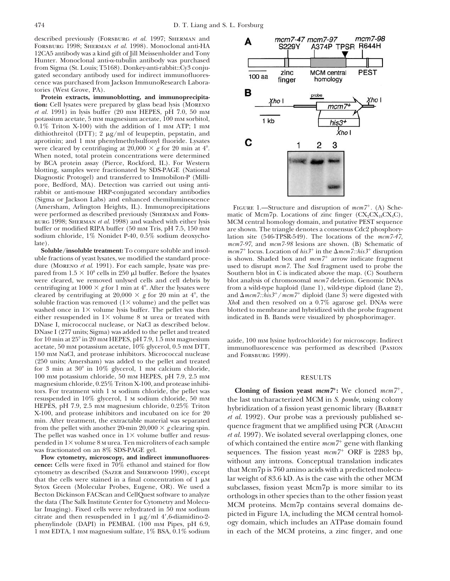described previously (FORSBURG *et al.* 1997; SHERMAN and Forsburg 1998; Sherman *et al.* 1998). Monoclonal anti-HA 12CA5 antibody was a kind gift of Jill Meissenholder and Tony Hunter. Monoclonal anti- $\alpha$ -tubulin antibody was purchased from Sigma (St. Louis; T5168). Donkey-anti-rabbit::Cy3 conjugated secondary antibody used for indirect immunofluorescence was purchased from Jackson ImmunoResearch Laboratories (West Grove, PA).

**Protein extracts, immunoblotting, and immunoprecipitation:** Cell lysates were prepared by glass bead lysis (Moreno *et al.* 1991) in lysis buffer (20 mm HEPES, pH 7.0, 50 mm potassium acetate, 5 mm magnesium acetate, 100 mm sorbitol,  $0.1\%$  Triton X-100) with the addition of 1 mm ATP; 1 mm dithiothreitol (DTT); 2  $\mu$ g/ml of leupeptin, pepstatin, and aprotinin; and 1 mm phenylmethylsulfonyl fluoride. Lysates were cleared by centrifuging at  $20,000 \times g$  for 20 min at 4<sup>o</sup>. When noted, total protein concentrations were determined by BCA protein assay (Pierce, Rockford, IL). For Western blotting, samples were fractionated by SDS-PAGE (National Diagnostic Protogel) and transferred to Immobilon-P (Millipore, Bedford, MA). Detection was carried out using antirabbit or anti-mouse HRP-conjugated secondary antibodies (Sigma or Jackson Labs) and enhanced chemiluminescence (Amersham, Arlington Heights, IL). Immunoprecipitations FIGURE 1.—Structure and disruption of  $mcm^{7}$ . (A) Sche-were performed as described previously (SHERMAN and FORS- matic of Mcm7p. Locations of zinc finger (CX<sub>2</sub>CX<sub>18</sub> burg 1998; Sherman *et al.* 1998) and washed with either lysis buffer or modified RIPA buffer (50 mm Tris, pH 7.5, 150 mm buffer or modified RIPA buffer (50 mm Tris, pH 7.5, 150 mm are shown. The triangle denotes a consensus Cdc2 phosphory-<br>sodium chloride, 1% Nonidet P-40, 0.5% sodium deoxycho-<br>lation site (546-TPSR-549). The locations of th sodium chloride, 1% Nonidet P-40, 0.5% sodium deoxycho- lation site (546-TPSR-549). The locations of the *mcm7-47*,

uble fractions of yeast lysates, we modified the standard proce-<br>dure (MORENO *et al.* 1991). For each sample, lysate was pre-<br>used to disrupt  $mcm$ . The *Scal* fragment used to probe the dure (Moreno *et al.* 1991). For each sample, lysate was pre-<br>pared from  $1.5 \times 10^8$  cells in 250  $\mu$ l buffer. Before the lysates were cleared, we removed unlysed cells and cell debris by centrifuging at 1000 × g for 1 min at 4°. After the lysates were from a wild-type haploid (lane 1), wild-type diploid (lane 2), cleared by centrifuging at  $20,000 \times g$  for 20 min at 4<sup>o</sup>, the soluble fraction was removed (1× volume) and the pellet was washed once in  $1 \times$  volume lysis buffer. The pellet was then blotted to membrane and hybridized with the probe fragment either resuspended in  $1 \times$  volume 8  $\mu$  urea or treated with indicated in B. Bands were visualized either resuspended in  $1 \times$  volume 8 m urea or treated with DNase I, micrococcal nuclease, or NaCl as described below. DNase I (277 units; Sigma) was added to the pellet and treated for 10 min at 25° in 20 mm HEPES, pH 7.9, 1.5 mm magnesium<br>actate, 100 mm lysine hydrochloride) for microscopy. Indirect<br>acetate, 50 mm potassium acetate, 10% glycerol, 0.5 mm DTT,<br>150 mm NaCl, and protease inhibitors. Mic 150 mm NaCl, and protease inhibitors. Micrococcal nuclease (250 units; Amersham) was added to the pellet and treated for 3 min at  $30^{\circ}$  in  $10\%$  glycerol, 1 mm calcium chloride, 100 mm potassium chloride, 50 mm HEPES, pH 7.9, 2.5 mm RESULTS magnesium chloride, 0.25% Triton X-100, and protease inhibitors. For treatment with 1 m sodium chloride, the pellet was **Cloning of fission yeast**  $mcm7$ : We cloned  $mcm7$ <sup>+</sup>, resuspended in 10% glycerol, 1 m sodium chloride, 50 mm the last uncharacterized MCM in S. bombe, using co resuspended in 10% glycerol, 1 M sodium chloride, 50 mM<br>HEPES, pH 7.9, 2.5 mM magnesium chloride, 0.25% Triton<br>X-100, and protease inhibitors and incubated on ice for 20<br> $\frac{1}{1000}$  compared in the last uncharacterized MC  $\frac{R}{1992}$ . Our probe was a previously published semin. After treatment, the extractable material was separated<br>from the pellet with another 20-min 20,000  $\times$  g clearing spin. quence fragment that we amplified using PC The pellet was washed once in  $1 \times$  volume buffer and resus-<br>pended in  $1 \times$  volume 8 m urea. Ten microliters of each sample of which contained the entire  $m c m / 7$  gene with flanking

that the cells were stained in a final concentration of  $1 \mu$ M. Sytox Green (Molecular Probes, Eugene, OR). We used a subclasses, fission yeast Mcm7p is more similar to its Becton Dickinson FACScan and CellQuest software to analyze orthologs in other species than to the other fission y Becton Dickinson FACScan and CellQuest software to analyze<br>the data (The Salk Institute Center for Cytometry and Molecu-<br>lar Imaging). Fixed cells were rehydrated in 50 mm sodium<br>citrate and then resuspended in 1  $\mu$ g/ml phenylindole (DAPI) in PEMBAL (100 mm Pipes, pH 6.9, 1 mm EDTA, 1 mm magnesium sulfate, 1% BSA, 0.1% sodium



matic of Mcm7p. Locations of zinc finger ( $CX_2CX_3CX_4C$ ), MCM central homology domain, and putative PEST sequence mcm7-97, and mcm7-98 lesions are shown. (B) Schematic of **Soluble/insoluble treatment:** To compare soluble and insol-<br>De fractions of yeast lysates, we modified the standard proce-<br>is shown. Shaded box and  $mcm$ <sup>7+</sup> arrow indicate fragment  $mcm7^{+}$  locus. Location of  $his3^{+}$  in the  $\Delta mcm7::his3^{+}$  disruption Southern blot in C is indicated above the map. (C) Southern blot analysis of chromosomal  $mcm$  deletion. Genomic DNAs and  $\Delta mcm$ 7::*his3<sup>+</sup>*/ $mcm$ 7<sup>+</sup> diploid (lane 3) were digested with *XhoI* and then resolved on a 0.7% agarose gel. DNAs were

pended in 1× volume 8 M urea. Ten microliters of each sample work which contained the entire  $mcm$ math>7^+ gene with flanking<br>was fractionated on an 8% SDS-PAGE gel.<br>**Flow cytometry, microscopy, and indirect immunofluores-**<br> in each of the MCM proteins, a zinc finger, and one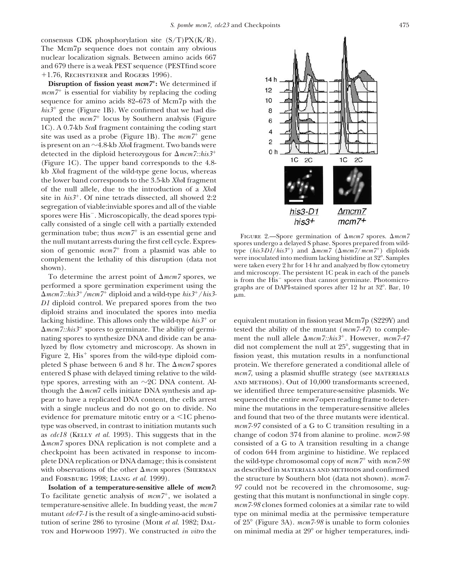consensus CDK phosphorylation site (S/T)PX(K/R). The Mcm7p sequence does not contain any obvious nuclear localization signals. Between amino acids 667 and 679 there is a weak PEST sequence (PESTfind score +1.76, RECHSTEINER and ROGERS 1996).

**Disruption of fission yeast** *mcm7***:** We determined if *mcm*7<sup>+</sup> is essential for viability by replacing the coding sequence for amino acids 82–673 of Mcm7p with the  $his3<sup>+</sup>$  gene (Figure 1B). We confirmed that we had disrupted the  $mcm<sup>7+</sup>$  locus by Southern analysis (Figure 1C). A 0.7-kb *Sca*I fragment containing the coding start site was used as a probe (Figure 1B). The  $mcm7^{+}$  gene is present on an  $\sim$ 4.8-kb *Xho*I fragment. Two bands were detected in the diploid heterozygous for  $\Delta$ *mcm7::his3*<sup>+</sup> (Figure 1C). The upper band corresponds to the 4.8 kb *Xho*I fragment of the wild-type gene locus, whereas the lower band corresponds to the 3.5-kb *Xho*I fragment of the null allele, due to the introduction of a *Xho*I site in  $his3^+$ . Of nine tetrads dissected, all showed 2:2 segregation of viable:inviable spores and all of the viable spores were His<sup>-</sup>. Microscopically, the dead spores typically consisted of a single cell with a partially extended germination tube; thus  $mcm$ <sup>+</sup> is an essential gene and<br>the null mutant arrests during the first cell cycle. Expres-<br>spores undergo a delayed S phase. Spores prepared from wildthe null mutant arrests during the first cell cycle. Expression of genomic  $mcm7$ <sup>+</sup> from a plasmid was able to complement the lethality of this disruption (data not were inoculated into medium lacking histidine at 32°. Samples<br>were taken every 2 hr for 14 hr and analyzed by flow cytometry

For determine the arrest point of  $\Delta m \ell m \ell$  spores, we is from the His<sup>-</sup> spores that cannot germinate. Photomicro-<br>performed a spore germination experiment using the graphs are of DAPI-stained spores after 12 hr at 32°. -*mcm7::his3/mcm7* diploid and a wild-type *his3*/*his3-* m. *D1* diploid control. We prepared spores from the two diploid strains and inoculated the spores into media lacking histidine. This allows only the wild-type *his3*<sup>+</sup> or equivalent mutation in fission yeast Mcm7p (S229Y) and  $\Delta mcm$ 7::his3<sup>+</sup> spores to germinate. The ability of germi-<br>tested the ability of the mutant ( $mcm$ 7-47) to complenating spores to synthesize DNA and divide can be analyzed by flow cytometry and microscopy. As shown in did not complement the null at 25°, suggesting that in Figure 2, His<sup>+</sup> spores from the wild-type diploid com-<br>fission yeast, this mutation results in a nonfunctional pleted S phase between 6 and 8 hr. The  $\Delta mcm$  spores entered S phase with delayed timing relative to the wild-  $mcm$ 7, using a plasmid shuffle strategy (see MATERIALS type spores, arresting with an  $\sim$ 2C DNA content. Al- and methods). Out of 10,000 transformants screened, though the  $\Delta mcm$  cells initiate DNA synthesis and appear to have a replicated DNA content, the cells arrest sequenced the entire *mcm7* open reading frame to deterwith a single nucleus and do not go on to divide. No mine the mutations in the temperature-sensitive alleles evidence for premature mitotic entry or a <1C pheno- and found that two of the three mutants were identical. type was observed, in contrast to initiation mutants such *mcm7-97* consisted of a G to C transition resulting in a as *cdc18* (Kelly *et al.* 1993). This suggests that in the change of codon 374 from alanine to proline. *mcm7-98*  $\Delta mcm$  spores DNA replication is not complete and a checkpoint has been activated in response to incom- of codon 644 from arginine to histidine. We replaced plete DNA replication or DNA damage; this is consistent the wild-type chromosomal copy of *mcm7* with *mcm7-98* with observations of the other  $\Delta m$ cm spores (SHERMAN and Forsburg 1998; Liang *et al.* 1999). the structure by Southern blot (data not shown). *mcm7-*

To facilitate genetic analysis of  $mcm<sup>+</sup>$ , we isolated a gesting that this mutant is nonfunctional in single copy. temperature-sensitive allele. In budding yeast, the *mcm7 mcm7-98* clones formed colonies at a similar rate to wild mutant *cdc47-1* is the result of a single-amino-acid substi- type on minimal media at the permissive temperature tution of serine 286 to tyrosine (Moir *et al.* 1982; DAL- of 25<sup>°</sup> (Figure 3A). *mcm7-98* is unable to form colonies ton and Hopwoon 1997). We constructed *in vitro* the on minimal media at 29<sup>°</sup> or higher temperatures, indi-



 *spores. Δ* $*mem7*$  $mcm7~(\Delta mcm7/mcm7^+)$  diploids shown).<br>To determine the arrest point of  $\Delta mcm$  spores, we and microscopy. The persistent 1C peak in each of the panels To determine the arrest point of  $\Delta mcm$  spores, we are form the His-Forms the History.

*mcm7::his3.* However, *mcm7-47* protein. We therefore generated a conditional allele of we identified three temperature-sensitive plasmids. We consisted of a G to A transition resulting in a change as described in materials and methods and confirmed **Isolation of a temperature-sensitive allele of** *mcm7***:** *97* could not be recovered in the chromosome, sug-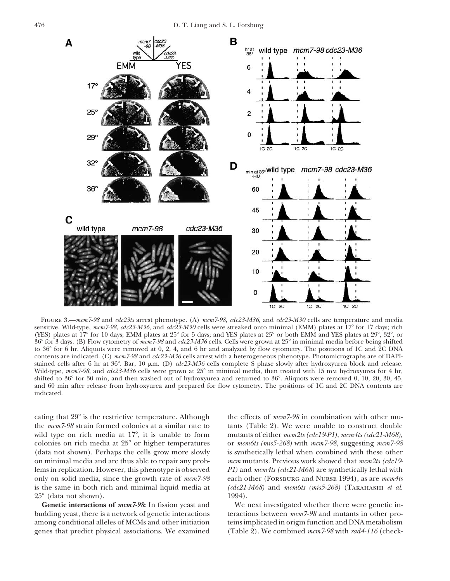

Figure 3.—*mcm7-98* and *cdc23ts* arrest phenotype. (A) *mcm7-98*, *cdc23-M36*, and *cdc23-M30* cells are temperature and media sensitive. Wild-type,  $mcm$ 7-98,  $cdc23-M36$ , and  $cdc23-M30$  cells were streaked onto minimal (EMM) plates at 17<sup>o</sup> for 17 days; rich (YES) plates at  $17^{\circ}$  for 10 days; EMM plates at  $25^{\circ}$  for 5 days; and YES plates at  $25^{\circ}$  or both EMM and YES plates at  $29^{\circ}$ ,  $32^{\circ}$ , or 36 for 3 days. (B) Flow cytometry of *mcm7-98* and *cdc23-M36* cells. Cells were grown at 25 in minimal media before being shifted to 36 for 6 hr. Aliquots were removed at 0, 2, 4, and 6 hr and analyzed by flow cytometry. The positions of 1C and 2C DNA contents are indicated. (C) *mcm7-98* and *cdc23-M36* cells arrest with a heterogeneous phenotype. Photomicrographs are of DAPIstained cells after 6 hr at 36°. Bar, 10  $\mu$ m. (D) *cdc23-M36* cells complete S phase slowly after hydroxyurea block and release. Wild-type,  $mcm$ 7-98, and  $cdc23-M36$  cells were grown at 25° in minimal media, then treated with 15 mm hydroxyurea for 4 hr, shifted to  $36^{\circ}$  for  $30$  min, and then washed out of hydroxyurea and returned to  $36^{\circ}$ . Aliquots were removed 0, 10, 20, 30, 45, and 60 min after release from hydroxyurea and prepared for flow cytometry. The positions of 1C and 2C DNA contents are indicated.

 $25^{\circ}$  (data not shown). 1994).

cating that  $29^\circ$  is the restrictive temperature. Although the effects of  $mcm$ -98 in combination with other muthe  $mcm7-98$  strain formed colonies at a similar rate to tants (Table 2). We were unable to construct double wild type on rich media at 17<sup>o</sup>, it is unable to form mutants of either  $mcm2ts$  (cdc19-P1),  $mcm4ts$  (cdc21-M68), colonies on rich media at 25 or higher temperatures or *mcm6ts (mis5-268)* with *mcm7-98*, suggesting *mcm7-98* (data not shown). Perhaps the cells grow more slowly is synthetically lethal when combined with these other on minimal media and are thus able to repair any prob- *mcm* mutants. Previous work showed that *mcm2ts (cdc19* lems in replication. However, this phenotype is observed *P1)* and *mcm4ts (cdc21-M68)* are synthetically lethal with only on solid media, since the growth rate of *mcm7-98* each other (Forsburg and Nurse 1994), as are *mcm4ts* is the same in both rich and minimal liquid media at *(cdc21-M68)* and *mcm6ts (mis5-268)* (Takahashi *et al.*

**Genetic interactions of** *mcm7-98***:** In fission yeast and We next investigated whether there were genetic inbudding yeast, there is a network of genetic interactions teractions between *mcm7-98* and mutants in other proamong conditional alleles of MCMs and other initiation teins implicated in origin function and DNA metabolism genes that predict physical associations. We examined (Table 2). We combined *mcm7-98* with *rad4-116* (check-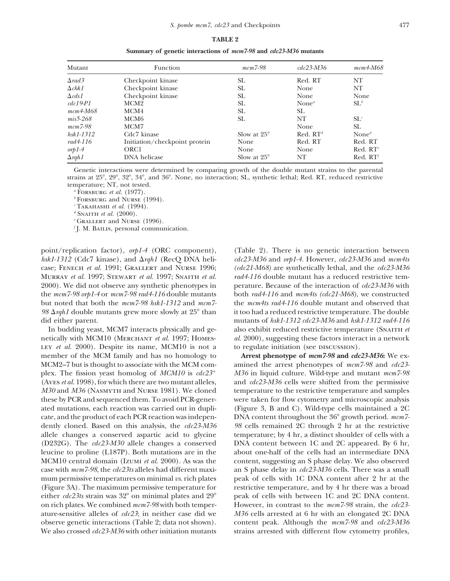### **TABLE 2**

| Mutant                | Function                      | $mcm$ 7-98           | $cdc23-M36$                    | $mcm4-M68$           |
|-----------------------|-------------------------------|----------------------|--------------------------------|----------------------|
| $\Delta$ rad $\Delta$ | Checkpoint kinase             | SL.                  | Red. RT                        | NT                   |
| $\Delta chk1$         | Checkpoint kinase             | SL.                  | None                           | NT                   |
| $\Delta c ds1$        | Checkpoint kinase             | <b>SL</b>            | None                           | None                 |
| $cdc19-P1$            | MCM <sub>2</sub>              | SL.                  | None <sup><math>a</math></sup> | $SL^b$               |
| $mcm4-M68$            | MCM4                          | <b>SL</b>            | SL.                            |                      |
| $mis 5-268$           | MCM6                          | <b>SL</b>            | NT                             | $SL^c$               |
| $mcm$ 7-98            | MCM7                          |                      | None                           | <b>SL</b>            |
| $h$ sk $1-1312$       | Cdc7 kinase                   | Slow at $25^{\circ}$ | Red. $RT^d$                    | None <sup>d</sup>    |
| $rad4-116$            | Initiation/checkpoint protein | None                 | Red. RT                        | Red. RT              |
| $orpl-4$              | ORC <sub>1</sub>              | None                 | None                           | Red. RT <sup>e</sup> |
| $\Delta$ rqh1         | DNA helicase                  | Slow at $25^\circ$   | NΤ                             | Red. RT <sup>f</sup> |

**Summary of genetic interactions of** *mcm7-98* **and** *cdc23-M36* **mutants**

Genetic interactions were determined by comparing growth of the double mutant strains to the parental strains at 25°, 29°, 32°, 34°, and 36°. None, no interaction; SL, synthetic lethal; Red. RT, reduced restrictive temperature; NT, not tested.

*<sup>a</sup>* Forsburg *et al.* (1977).

*<sup>b</sup>* Forsburg and Nurse (1994).

 $c$  Takahashi *et al.* (1994).

*d* SNAITH *et al.* (2000).

*<sup>e</sup>* Grallert and Nurse (1996).

*f* J. M. BAILIS, personal communication.

point/replication factor), *orp1-4* (ORC component), (Table 2). There is no genetic interaction between  $hsk1-1312$  (Cdc7 kinase), and  $\Delta rgh1$  (RecQ DNA helicase; Fenech *et al.* 1991; Grallert and Nurse 1996; *(cdc21-M68)* are synthetically lethal, and the *cdc23-M36* MURRAY *et al.* 1997; STEWART *et al.* 1997; SNAITH *et al. rad4-116* double mutant has a reduced restrictive tem-2000). We did not observe any synthetic phenotypes in perature. Because of the interaction of *cdc23-M36* with the *mcm7-98 orp1-4* or *mcm7-98 rad4-116* double mutants both *rad4-116* and *mcm4ts (cdc21-M68)*, we constructed but noted that both the *mcm7-98 hsk1-1312* and *mcm7-* the *mcm4ts rad4-116* double mutant and observed that 98  $\Delta$ *rgh1* double mutants grew more slowly at 25 $\degree$  than did either parent. mutants of *hsk1-1312 cdc23-M36* and *hsk1-1312 rad4-116* 

LEY *et al.* 2000). Despite its name, MCM10 is not a to regulate initiation (see DISCUSSION). member of the MCM family and has no homology to **Arrest phenotype of** *mcm7-98* **and** *cdc23-M36***:** We ex-MCM2–7 but is thought to associate with the MCM com- amined the arrest phenotypes of *mcm7-98* and *cdc23-* (Aves *et al.* 1998), for which there are two mutant alleles, and *cdc23-M36* cells were shifted from the permissive *M30* and *M36* (NASMYTH and Nurse 1981). We cloned temperature to the restrictive temperature and samples these by PCR and sequenced them. To avoid PCR-gener- were taken for flow cytometry and microscopic analysis ated mutations, each reaction was carried out in dupli- (Figure 3, B and C). Wild-type cells maintained a 2C cate, and the product of each PCR reaction was indepen- DNA content throughout the 36 growth period. *mcm7* dently cloned. Based on this analysis, the *cdc23-M36 98* cells remained 2C through 2 hr at the restrictive allele changes a conserved aspartic acid to glycine temperature; by 4 hr, a distinct shoulder of cells with a (D232G). The *cdc23-M30* allele changes a conserved DNA content between 1C and 2C appeared. By 6 hr, leucine to proline (L187P). Both mutations are in the about one-half of the cells had an intermediate DNA MCM10 central domain (Izumi *et al.* 2000). As was the content, suggesting an S phase delay. We also observed case with *mcm7-98*, the *cdc23ts* alleles had different maxi- an S phase delay in *cdc23-M36* cells. There was a small mum permissive temperatures on minimal *vs*. rich plates peak of cells with 1C DNA content after 2 hr at the (Figure 3A). The maximum permissive temperature for restrictive temperature, and by 4 hr there was a broad either  $cdc23$ ts strain was  $32^\circ$  on minimal plates and  $29^\circ$  peak of cells with between 1C and 2C DNA content. on rich plates. We combined *mcm7-98* with both temper- However, in contrast to the *mcm7-98* strain, the *cdc23* ature-sensitive alleles of *cdc23*; in neither case did we *M36* cells arrested at 6 hr with an elongated 2C DNA observe genetic interactions (Table 2; data not shown). content peak. Although the *mcm7-98* and *cdc23-M36* We also crossed *cdc23-M36* with other initiation mutants strains arrested with different flow cytometry profiles,

*rdc23-M36* and *orp1-4*. However, *cdc23-M36* and *mcm4ts* it too had a reduced restrictive temperature. The double In budding yeast, MCM7 interacts physically and ge-<br>also exhibit reduced restrictive temperature (SNAITH *et* netically with MCM10 (Merchant *et al.* 1997; Homes- *al.* 2000), suggesting these factors interact in a network

plex. The fission yeast homolog of *MCM10* is *cdc23 M36* in liquid culture. Wild-type and mutant *mcm7-98*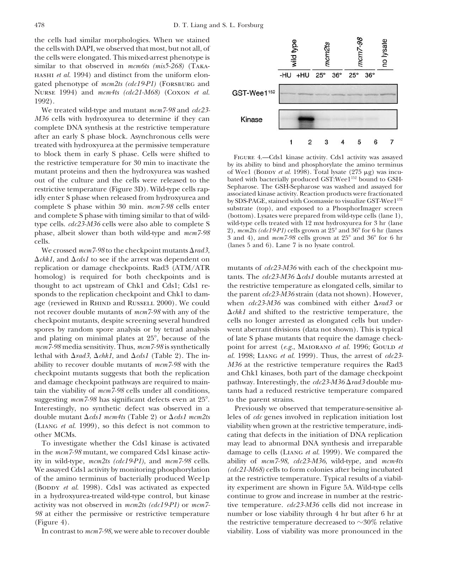the cells had similar morphologies. When we stained the cells with DAPI, we observed that most, but not all, of the cells were elongated. This mixed-arrest phenotype is similar to that observed in *mcm6ts (mis5-268)* (Takahashi *et al.* 1994) and distinct from the uniform elongated phenotype of *mcm2ts (cdc19-P1)* (Forsburg and Nurse 1994) and *mcm4ts (cdc21-M68)* (Coxon *et al.* 1992).

We treated wild-type and mutant *mcm7-98* and *cdc23- M36* cells with hydroxyurea to determine if they can complete DNA synthesis at the restrictive temperature after an early S phase block. Asynchronous cells were treated with hydroxyurea at the permissive temperature to block them in early S phase. Cells were shifted to<br>the restrictive temperature for 30 min to inactivate the<br>mutant proteins and then the hydroxyurea was washed of Weel (BODDY *et al.* 1998). Total lysate (275  $\mu$ g) wa mutant proteins and then the hydroxyurea was washed bated with bacterially produced GST:Wee1<sup>152</sup> bound to GSH-<br>restrictive temperature (Figure 3D) Wild type cells rap Sepharose. The GSH-Sepharose was washed and assayed for restrictive temperature (Figure 3D). Wild-type cells rap-<br>idly enter S phase when released from hydroxyurea and<br>complete S phase within 30 min.  $mcm$ 7-98 cells enter<br>complete S phase within 30 min.  $mcm$ 7-98 cells enter<br>su complete S phase within 30 min.  $mcm$ 7-98 cells enter and complete S phase with timing similar to that of wild- (bottom). Lysates were prepared from wild-type cells (lane 1), type cells. *cdc23-M36* cells were also able to complete S wild-type cells treated with 12 mm hydroxyurea for 3 hr (lane<br>nbase albeit slower than both wild-type and mem 7.98 2), mcm2ts (cdc19-P1) cells grown at 25° and 36° phase, albeit slower than both wild-type and  $mcm7-98$ 

We crossed  $mcm$  7-98 to the checkpoint mutants  $\Delta rad3$ ,  $\Delta$ *chk1*, and  $\Delta$ *cds1* to see if the arrest was dependent on replication or damage checkpoints. Rad3 (ATM/ATR mutants of *cdc23-M36* with each of the checkpoint muhomolog) is required for both checkpoints and is thought to act upstream of Chk1 and Cds1; Cds1 re- the restrictive temperature as elongated cells, similar to sponds to the replication checkpoint and Chk1 to dam-<br>the parent *cdc23-M36* strain (data not shown). However, age (reviewed in RHIND and RUSSELL 2000). We could not recover double mutants of  $mcm$ 7-98 with any of the checkpoint mutants, despite screening several hundred cells no longer arrested as elongated cells but underspores by random spore analysis or by tetrad analysis went aberrant divisions (data not shown). This is typical and plating on minimal plates at  $25^{\circ}$ , because of the of late S phase mutants that require the damage check*mcm7-98* media sensitivity. Thus, *mcm7-98* is synthetically point for arrest (*e.g.*, Maiorano *et al.* 1996; Gould *et* lethal with  $\Delta rad3$ ,  $\Delta chkl$ , and  $\Delta$ ability to recover double mutants of *mcm7-98* with the *M36* at the restrictive temperature requires the Rad3 checkpoint mutants suggests that both the replication and Chk1 kinases, both part of the damage checkpoint and damage checkpoint pathways are required to maintain the viability of *mcm7-98* cells under all conditions, tants had a reduced restrictive temperature compared suggesting *mcm7-98* has significant defects even at 25°. to the parent strains. Interestingly, no synthetic defect was observed in a Previously we observed that temperature-sensitive aldouble mutant  $\Delta c ds1$  mcm4ts (Table 2) or  $\Delta$ 



3 and 4), and *mcm7-98* cells grown at 25° and 36° for 6 hr cells.<br>(lanes 5 and 6). Lane 7 is no lysate control.

tants. The  $cdc23-M36 \Delta cds1$  double mutants arrested at when  $cdc23-M36$  was combined with either  $\Delta rad3$  or  $\Delta$ *chk1* and shifted to the restrictive temperature, the *al.* 1998; LIANG *et al.* 1999). Thus, the arrest of *cdc23*pathway. Interestingly, the  $cdc23-M36\Delta rad3$  double mu-

*cds1 mcm2ts* leles of *cdc* genes involved in replication initiation lost (Liang *et al.* 1999), so this defect is not common to viability when grown at the restrictive temperature, indiother MCMs. cating that defects in the initiation of DNA replication To investigate whether the Cds1 kinase is activated may lead to abnormal DNA synthesis and irreparable in the *mcm7-98* mutant, we compared Cds1 kinase activ- damage to cells (Liang *et al.* 1999). We compared the ity in wild-type, *mcm2ts (cdc19-P1)*, and *mcm7-98* cells. ability of *mcm7-98*, *cdc23-M36*, wild-type, and *mcm4ts* We assayed Cds1 activity by monitoring phosphorylation *(cdc21-M68)* cells to form colonies after being incubated of the amino terminus of bacterially produced Wee1p at the restrictive temperature. Typical results of a viabil- (BODDY *et al.* 1998). Cds1 was activated as expected ity experiment are shown in Figure 5A. Wild-type cells in a hydroxyurea-treated wild-type control, but kinase continue to grow and increase in number at the restricactivity was not observed in *mcm2ts (cdc19-P1)* or *mcm7-* tive temperature. *cdc23-M36* cells did not increase in *98* at either the permissive or restrictive temperature number or lose viability through 4 hr but after 6 hr at (Figure 4). the restrictive temperature decreased to  $\sim 30\%$  relative In contrast to  $mcm$ 7-98, we were able to recover double viability. Loss of viability was more pronounced in the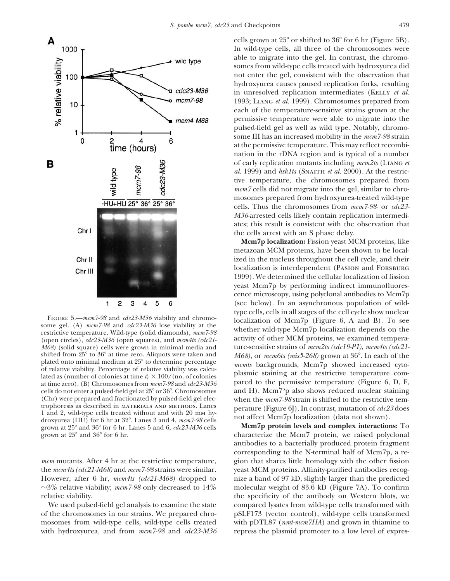

(open circles), *cdc23-M36* (open squares), and  $mcm4ts$  (*cdc21*- activity of other MCM proteins, we examined tempera-<br>M68) (solid square) cells were grown in minimal media and ture-sensitive strains of  $mcm2ts$  (*cdc19-P1*), *M68*) (solid square) cells were grown in minimal media and shifted from 25<sup>°</sup> to 36<sup>°</sup> at time zero. Aliquots were taken and shifted from 25° to 36° at time zero. Aliquots were taken and *M68*), or *mcm6ts (mis5-268)* grown at 36°. In each of the plated onto minimal medium at 25° to determine percentage plated onto minimal meatum at 25 to determine percentage<br>of relative viability. Percentage of relative viability was calculated as (number of colonies at time  $t$ )  $\times$  100/(no. of colonies<br>at time zero). (B) Chromosomes cells do not enter a pulsed-field gel at  $25^{\circ}$  or  $36^{\circ}$ . Chromosomes (Chr) were prepared and fractionated by pulsed-field gel elec-<br>trophoresis as described in MATERIALS AND METHODS. Lanes<br>porative (Figure 61) In contrast mutation of  $\alpha/23$  does trophoresis as described in MATERIALS AND METHODS. Lanes<br>
1 and 2, wild-type cells treated without and with 20 mm hy-<br>
droxyurea (HU) for 6 hr at 32°. Lanes 3 and 4,  $mcm$ 7-98 cells<br>
grown at 25° and 36° for 6 hr. Lanes 5 grown at  $25^{\circ}$  and  $36^{\circ}$  for 6 hr. Lanes 5 and 6, *cdc23-M36* cells grown at  $25^{\circ}$  and  $36^{\circ}$  for 6 hr.

the *mcm4ts (cdc21-M68)* and *mcm7-98* strains were similar. yeast MCM proteins. Affinity-purified antibodies recog-However, after 6 hr, *mcm4ts (cdc21-M68)* dropped to nize a band of 97 kD, slightly larger than the predicted  $\sim$ 3% relative viability; *mcm7-98* only decreased to 14% molecular weight of 83.6 kD (Figure 7A). To confirm

of the chromosomes in our strains. We prepared chro- pSLF173 (vector control), wild-type cells transformed mosomes from wild-type cells, wild-type cells treated with pDTL87 (*nmt-mcm7HA*) and grown in thiamine to with hydroxyurea, and from  $mcm$ 7-98 and  $cdc$ 23-M36 repress the plasmid promoter to a low level of expres-

cells grown at  $25^{\circ}$  or shifted to  $36^{\circ}$  for 6 hr (Figure 5B). In wild-type cells, all three of the chromosomes were able to migrate into the gel. In contrast, the chromosomes from wild-type cells treated with hydroxyurea did not enter the gel, consistent with the observation that hydroxyurea causes paused replication forks, resulting in unresolved replication intermediates (KELLY *et al.*) 1993; Liang *et al.* 1999). Chromosomes prepared from each of the temperature-sensitive strains grown at the permissive temperature were able to migrate into the pulsed-field gel as well as wild type. Notably, chromosome III has an increased mobility in the *mcm7-98* strain at the permissive temperature. This may reflect recombination in the rDNA region and is typical of a number of early replication mutants including *mcm2ts* (Liang *et al.* 1999) and *hsk1ts* (SNAITH *et al.* 2000). At the restrictive temperature, the chromosomes prepared from *mcm7* cells did not migrate into the gel, similar to chromosomes prepared from hydroxyurea-treated wild-type cells. Thus the chromosomes from *mcm7-98*- or *cdc23- M36*-arrested cells likely contain replication intermediates; this result is consistent with the observation that the cells arrest with an S phase delay.

**Mcm7p localization:** Fission yeast MCM proteins, like metazoan MCM proteins, have been shown to be localized in the nucleus throughout the cell cycle, and their localization is interdependent (PASION and FORSBURG 1999). We determined the cellular localization of fission yeast Mcm7p by performing indirect immunofluorescence microscopy, using polyclonal antibodies to Mcm7p (see below). In an asynchronous population of wild-FIGURE 5.—mcm7-98 and cdc23-M36 viability and chromo-<br>some gel. (A) mcm7-98 and cdc23-M36 lose viability at the<br>restrictive temperature. Wild-type (solid diamonds), mcm7-98<br>(open circles) cdc<sup>23-M36</sup> (open squares) and mcm

characterize the Mcm7 protein, we raised polyclonal antibodies to a bacterially produced protein fragment corresponding to the N-terminal half of Mcm7p, a re*mcm* mutants. After 4 hr at the restrictive temperature, gion that shares little homology with the other fission relative viability. the specificity of the antibody on Western blots, we We used pulsed-field gel analysis to examine the state compared lysates from wild-type cells transformed with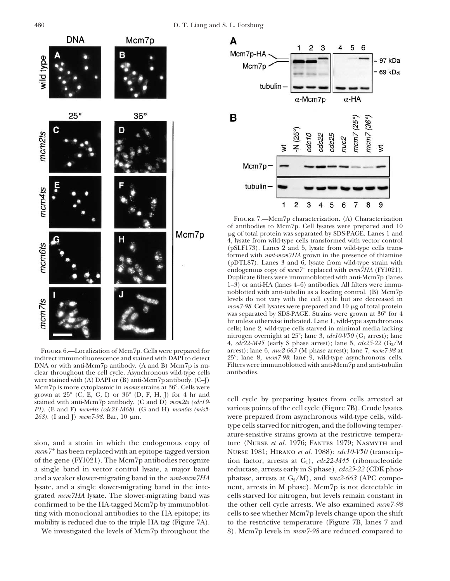

indirect immunofluorescence and stained with DAPI to detect DNA or with anti-Mcm7p antibody. (A and B) Mcm7p is nu-<br>clear throughout the cell cycle. Asynchronous wild-type cells antibodies. clear throughout the cell cycle. Asynchronous wild-type cells were stained with (A) DAPI or (B) anti-Mcm7p antibody. (C–J) Mcm<sup>7</sup>p is more cytoplasmic in *mcmts* strains at 36°. Cells were grown at 25° (C, E, G, I) or 36° (D, F, H, J) for 4 hr and grown at 25 (C, E, G, I) or 36 (D, F, H, J) for 1 hr and cell cycle by preparing lysates from cells arrested at stained with anti-Mcm7p antibody. (C and D)  $mcm2ts$  (cdc19-*P1).* (E and F) *mcm4ts (cdc21-M68).* (G and H) *mcm6ts (mis5-* various points of the cell cycle (Figure 7B). Crude lysates 268). (I and J) mcm7-98. Bar, 10 μm. were prepared from asynchronous wild-type cells, wild-



Figure 7.—Mcm7p characterization. (A) Characterization of antibodies to Mcm7p. Cell lysates were prepared and 10 g of total protein was separated by SDS-PAGE. Lanes 1 and 4, lysate from wild-type cells transformed with vector control (pSLF173). Lanes 2 and 5, lysate from wild-type cells transformed with *nmt-mcm7HA* grown in the presence of thiamine (pDTL87). Lanes 3 and 6, lysate from wild-type strain with endogenous copy of  $mcm<sup>7+</sup>$  replaced with  $mcm<sup>7</sup>HA$  (FY1021). Duplicate filters were immunoblotted with anti-Mcm7p (lanes 1–3) or anti-HA (lanes 4–6) antibodies. All filters were immunoblotted with anti-tubulin as a loading control. (B) Mcm7p levels do not vary with the cell cycle but are decreased in mcm7-98. Cell lysates were prepared and 10 μg of total protein was separated by SDS-PAGE. Strains were grown at 36° for 4 hr unless otherwise indicated. Lane 1, wild-type asynchronous cells; lane 2, wild-type cells starved in minimal media lacking nitrogen overnight at  $25^{\circ}$ ; lane 3, *cdc10-V50* (G<sub>1</sub> arrest); lane 4, *cdc22-M45* (early S phase arrest); lane 5, *cdc25-22* (G<sub>2</sub>/M arrest); lane 6, *nuc2-663* (M phase arrest); lane 7, *mcm7-98* at FIGURE 6.—Localization of Mcm7p. Cells were prepared for arrest); lane 6, *nuc2-663* (M phase arrest); lane 7, *mcm7-98* at direct immunofluorescence and stained with DAPI to detect 25°; lane 8, *mcm7-98*; lane 9, wild-typ

type cells starved for nitrogen, and the following temperature-sensitive strains grown at the restrictive temperasion, and a strain in which the endogenous copy of ture (NURSE *et al.* 1976; FANTES 1979; NASMYTH and *mcm7* has been replaced with an epitope-tagged version Nurse 1981; Hirano *et al.* 1988): *cdc10-V50* (transcripof the gene (FY1021). The Mcm7p antibodies recognize tion factor, arrests at G1), *cdc22-M45* (ribonucleotide a single band in vector control lysate, a major band reductase, arrests early in S phase), *cdc25-22* (CDK phosand a weaker slower-migrating band in the  $nmt-mcm7HA$  phatase, arrests at  $G_2/M$ ), and  $nuc2-663$  (APC compolysate, and a single slower-migrating band in the inte- nent, arrests in M phase). Mcm7p is not detectable in grated *mcm7HA* lysate. The slower-migrating band was cells starved for nitrogen, but levels remain constant in confirmed to be the HA-tagged Mcm7p by immunoblot- the other cell cycle arrests. We also examined *mcm7-98* ting with monoclonal antibodies to the HA epitope; its cells to see whether Mcm7p levels change upon the shift mobility is reduced due to the triple HA tag (Figure 7A). to the restrictive temperature (Figure 7B, lanes 7 and We investigated the levels of Mcm7p throughout the 8). Mcm7p levels in  $mcm$ -7-98 are reduced compared to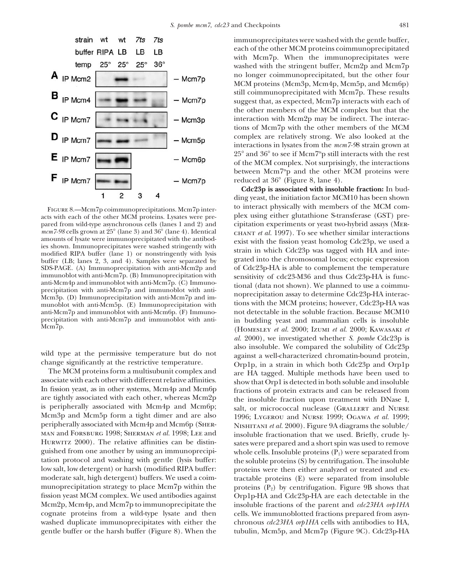![](_page_10_Figure_1.jpeg)

SDS-PAGE. (A) Immunoprecipitation with anti-Mcm2p and immunoblot with anti-Mcm7p. (B) Immunoprecipitation with anti-Mcm<sup>7</sup>p and immunoblot with anti-Mcm6p. (F) Immuno-<br>precipitation with anti-Mcm<sup>7</sup>p and immunoblot with anti-

is peripherally associated with Mcm4p and Mcm6p; salt, or micrococcal nuclease (GRALLERT and NURSE<br>Mcm3p and Mcm5p form a tight dimer and are also 1996: LYGEROU and NURSE 1999: OGAWA et al. 1999: peripherally associated with Mcm4p and Mcm6p (SHER- NISHITANI *et al.* 2000). Figure 9A diagrams the soluble/ man and Forsburg 1998; Sherman *et al.* 1998; Lee and insoluble fractionation that we used. Briefly, crude ly-<br>HURWITZ 2000). The relative affinities can be distin-sates were prepared and a short spin was used to remove HURWITZ 2000). The relative affinities can be distin-<br>guished from one another by using an immunoprecipi-<br>whole cells. Insoluble proteins  $(P_1)$  were separated from tation protocol and washing with gentle (lysis buffer: the soluble proteins (S) by centrifugation. The insoluble low salt, low detergent) or harsh (modified RIPA buffer: proteins were then either analyzed or treated and exmoderate salt, high detergent) buffers. We used a coim- tractable proteins (E) were separated from insoluble munoprecipitation strategy to place Mcm7p within the proteins  $(P_2)$  by centrifugation. Figure 9B shows that fission yeast MCM complex. We used antibodies against Orp1p-HA and Cdc23p-HA are each detectable in the Mcm2p, Mcm4p, and Mcm7p to immunoprecipitate the insoluble fractions of the parent and *cdc23HA orp1HA* cognate proteins from a wild-type lysate and then cells. We immunoblotted fractions prepared from asynwashed duplicate immunoprecipitates with either the chronous *cdc23HA orp1HA* cells with antibodies to HA,

immunoprecipitates were washed with the gentle buffer, each of the other MCM proteins coimmunoprecipitated with Mcm7p. When the immunoprecipitates were washed with the stringent buffer, Mcm2p and Mcm7p no longer coimmunoprecipitated, but the other four MCM proteins (Mcm3p, Mcm4p, Mcm5p, and Mcm6p) still coimmunoprecipitated with Mcm7p. These results suggest that, as expected, Mcm7p interacts with each of the other members of the MCM complex but that the interaction with Mcm2p may be indirect. The interactions of Mcm7p with the other members of the MCM complex are relatively strong. We also looked at the interactions in lysates from the *mcm7-9*8 strain grown at  $25^{\circ}$  and  $36^{\circ}$  to see if Mcm7<sup>ts</sup>p still interacts with the rest of the MCM complex. Not surprisingly, the interactions between Mcm7<sup>ts</sup>p and the other MCM proteins were reduced at 36 $^{\circ}$  (Figure 8, lane 4).

**Cdc23p is associated with insoluble fraction:** In budding yeast, the initiation factor MCM10 has been shown FIGURE 8.—Mcm7p coimmunoprecipitations. Mcm7p inter-<br>to interact physically with members of the MCM comacts with each of the other MCM proteins. Lysates were pre- plex using either glutathione S-transferase (GST) prepared from wild-type asynchronous cells (lanes 1 and 2) and cipitation experiments or yeast two-hybrid assays (MER-<br>mcm7-98 cells grown at 25° (lane 3) and 36° (lane 4). Identical CHANT et al. 1997). To see whether simila mcm7-98 cells grown at 25° (lane 3) and 36° (lane 4). Identical<br>
amounts of lysate were immunoprecipitated with the antibod-<br>
is shown. Immunoprecipitates were washed stringently with<br>
modified RIPA buffer (lane 1) or nons buffer (LB; lanes 2, 3, and 4). Samples were separated by grated into the chromosomal locus; ectopic expression SDS-PAGE. (A) Immunoprecipitation with anti-Mcm2p and of Cdc23p-HA is able to complement the temperature immunoblot with anti-Mcm7p. (B) Immunoprecipitation with<br>anti-Mcm4p and immunoblot with anti-Mcm7p. (C) Immuno-<br>precipitation with anti-Mcm7p and immunoblot with anti-Mcm7p and immunoblot with anti-Mcm7p and immunoblot wit munoblot with anti-Mcm5p. (E) Immunoprecipitation with the MCM proteins; however, Cdc23p-HA was anti-Mcm7p and immunoblot with anti-Mcm6p. (F) Immuno-<br>not detectable in the soluble fraction. Because MCM10 precipitation with anti-Mcm7p and immunoblot with anti- in budding yeast and mammalian cells is insoluble Mcm7p. (Homesley *et al.* 2000; Izumi *et al.* 2000; Kawasaki *et al.* 2000), we investigated whether *S. pombe* Cdc23p is wild type at the permissive temperature but do not<br>change significantly at the restrictive temperature.<br>The MCM proteins form a multisubunit complex and<br>associate with each other with different relative affinities.<br>In fiss 1996; LYGEROU and NURSE 1999; OGAWA *et al.* 1999; whole cells. Insoluble proteins  $(P_1)$  were separated from gentle buffer or the harsh buffer (Figure 8). When the tubulin, Mcm5p, and Mcm7p (Figure 9C). Cdc23p-HA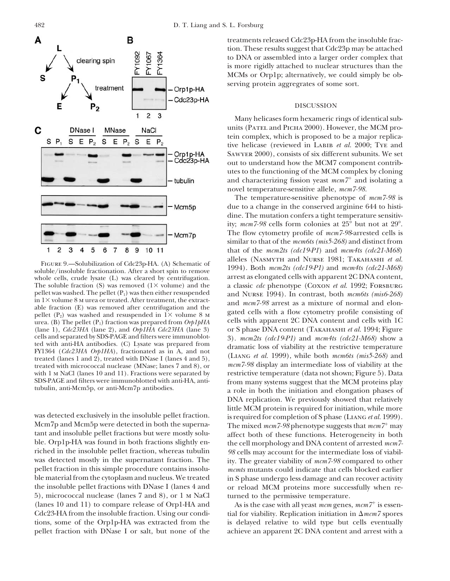![](_page_11_Figure_2.jpeg)

The soluble fraction (S) was removed (1× volume) and the pellet was washed. The pellet ( $P_1$ ) was then either resuspended (lane 1), *Cdc23HA* (lane 2), and *Orp1HA Cdc23HA* (lane 3) cells and separated by SDS-PAGE and filters were immunoblot-

5), micrococcal nuclease (lanes 7 and 8), or 1 M NaCl turned to the permissive temperature. (lanes 10 and 11) to compare release of Orp1-HA and As is the case with all yeast  $mcm$  genes,  $mcm7$ <sup>+</sup> is essen-Cdc23-HA from the insoluble fraction. Using our condi-

treatments released Cdc23p-HA from the insoluble fraction. These results suggest that Cdc23p may be attached to DNA or assembled into a larger order complex that is more rigidly attached to nuclear structures than the MCMs or Orp1p; alternatively, we could simply be observing protein aggregrates of some sort.

# DISCUSSION

Many helicases form hexameric rings of identical subunits (PATEL and PICHA 2000). However, the MCM protein complex, which is proposed to be a major replicative helicase (reviewed in Labib *et al.* 2000; Tye and Sawyer 2000), consists of six different subunits. We set out to understand how the MCM7 component contributes to the functioning of the MCM complex by cloning and characterizing fission yeast  $mcm<sup>7+</sup>$  and isolating a novel temperature-sensitive allele, *mcm7-98.*

The temperature-sensitive phenotype of *mcm7-98* is due to a change in the conserved arginine 644 to histidine. The mutation confers a tight temperature sensitivity;  $mcm$  7-98 cells form colonies at  $25^{\circ}$  but not at  $29^{\circ}$ . The flow cytometry profile of *mcm7-98*-arrested cells is similar to that of the *mcm6ts (mis5-268)* and distinct from that of the *mcm2ts (cdc19-P1*) and *mcm4ts (cdc21-M68*) FIGURE 9.—Solubilization of Cdc23p-HA. (A) Schematic of alleles (NASMYTH and NURSE 1981; TAKAHASHI *et al.*<br>soluble/insoluble fractionation. After a short spin to remove the numeric of the manner of the soluble insoluble f whole cells, crude lysate (L) was cleared by centrifugation. arrest as elongated cells with apparent 2C DNA content,<br>The soluble fraction (S) was removed (1× volume) and the a classic *cdc* phenotype (COXON *et al.* 1992; pellet was washed. The pellet (P<sub>1</sub>) was then either resuspended<br>in 1× volume 8 M urea or treated. After treatment, the extract-<br>able fraction (E) was removed after centrifugation and the<br>pellet (P<sub>2</sub>) was washed and resu urea. (B) The pellet (P<sub>1</sub>) fraction was prepared from *Orp1pHA* cells with apparent 2C DNA content and cells with 1C (lane 1), *Cdc23HA* (lane 2), and *Orp1HA Cdc23HA* (lane 3) or S phase DNA content (TAKAHASHI *et al.* cells and separated by SDS-PAGE and filters were immunoblot-<br>ted with anti-HA antibodies. (C) Lysate was prepared from dramatic loss of viability at the restrictive temperature Eq with and HA antibodies. (C) Lysate was prepared from<br>
FY1364 (*Cdc23HA Orp1HA*), fractionated as in A, and not<br>
treated (lanes 1 and 2), treated with DNase I (lanes 4 and 5),<br>
treated with micrococcal nuclease (MNase: treated with micrococcal nuclease (MNase; lanes 7 and 8), or *mcm7-98* display an intermediate loss of viability at the with 1 MNaCl (lanes 10 and 11). Fractions were separated by restrictive temperature (data not shown; F with 1 m NaCl (lanes 10 and 11). Fractions were separated by restrictive temperature (data not shown; Figure 5). Data<br>SDS-PAGE and filters were immunoblotted with anti-HA, anti-<br>from many systems suggest that the MCM prote SDS-PAGE and filters were immunoblotted with anti-HA, anti- from many systems suggest that the MCM proteins play tubulin, anti-Mcm5p, or anti-Mcm7p antibodies. a role in both the initiation and elongation phases of DNA replication. We previously showed that relatively little MCM protein is required for initiation, while more was detected exclusively in the insoluble pellet fraction. is required for completion of S phase (LIANG *et al.* 1999).<br>Mcm<sup>7</sup>p and Mcm5p were detected in both the superna-<br>The mixed mcm<sup>7-98</sup> phenotype suggests that mcm<sup>7</sup> Mcm7p and Mcm5p were detected in both the superna-<br>tant and insoluble pellet fractions but were mostly solu-<br>affect both of these functions. Heterogeneity in both tant and insoluble pellet fractions but were mostly solu-<br>ble. Orp1p-HA was found in both fractions slightly en-<br>the cell morphology and DNA content of arrested mcm<sup>7</sup>ble. Orp1p-HA was found in both fractions slightly en-<br>riched in the insoluble pellet fraction, whereas tubulin 98 cells may account for the intermediate loss of viabilriched in the insoluble pellet fraction, whereas tubulin *98* cells may account for the intermediate loss of viabil-<br>was detected mostly in the supernatant fraction. The ity, The greater viability of mcm7-98 compared to ot ity. The greater viability of  $mcm$ 7-98 compared to other pellet fraction in this simple procedure contains insolu- *mcmts* mutants could indicate that cells blocked earlier ble material from the cytoplasm and nucleus. We treated in S phase undergo less damage and can recover activity the insoluble pellet fractions with DNase I (lanes 4 and or reload MCM proteins more successfully when re-

tial for viability. Replication initiation in  $\Delta mcm$  spores tions, some of the Orp1p-HA was extracted from the is delayed relative to wild type but cells eventually pellet fraction with DNase I or salt, but none of the achieve an apparent 2C DNA content and arrest with a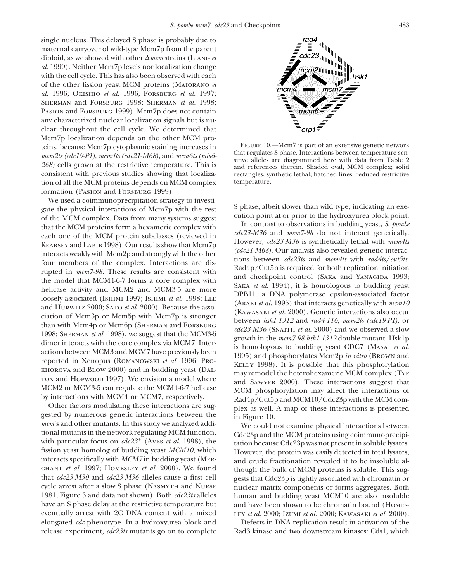single nucleus. This delayed S phase is probably due to maternal carryover of wild-type Mcm7p from the parent diploid, as we showed with other -*mcm* strains (Liang *et al.* 1999). Neither Mcm7p levels nor localization change with the cell cycle. This has also been observed with each of the other fission yeast MCM proteins (Maiorano *et al.* 1996; Okishio *et al.* 1996; Forsburg *et al.* 1997; Sherman and Forsburg 1998; Sherman *et al.* 1998; PASION and FORSBURG 1999). Mcm7p does not contain any characterized nuclear localization signals but is nuclear throughout the cell cycle. We determined that Mcm7p localization depends on the other MCM proteins, because Mcm7p cytoplasmic staining increases in<br>
mcm2ts (cdc19-P1), mcm4ts (cdc21-M68), and mcm6ts (mis6-<br>
268) cells grown at the restrictive temperature. This is<br>
consistent with previous studies showing that loca tion of all the MCM proteins depends on MCM complex formation (PASION and FORSBURG 1999).

We used a coimmunoprecipitation strategy to investi-<br>
gate the physical interactions of Mem<sup>7</sup>p with the rest<br>
of the MCM complex. Data from many systems suggest<br>
cution point at or prior to the hydroxyurea block point.<br> reported in Xenopus (Romanowski *et al.* 1996; Pro-<br>
KELLY 1998). It is possible that this phosphorylation<br>
KELLY 1998). It is possible that this phosphorylation<br>
may remodel the heterohexameric MCM complex (Type<br>
To and H

TON and HOPWOOD 1997). We envision a model where<br>
MCM2 or MCM3-5 can regulate the MCM4-6-7 helicase<br>
by interactions with MCM4 or MCM7, respectively.<br>
Other factors modulating these interactions are sug-<br>
depty Cut5p and interacts specifically with *MCM7* in budding yeast (MER-<br>CHANT *et al.* 1997; HOMESLEY *et al.* 2000). We found though the bulk of MCM proteins is soluble. This sugchant *et al.* 1997; Homesley *et al.* 2000). We found though the bulk of MCM proteins is soluble. This sug-<br>that  $cdc23-M30$  and  $cdc23-M36$  alleles cause a first cell gests that Cdc23p is tightly associated with chromatin or that *cdc23-M30* and *cdc23-M36* alleles cause a first cell gests that Cdc23p is tightly associated with chromatin or cycle arrest after a slow S phase (NASMYTH and NURSE unclear matrix components or forms aggregates. Both have an S phase delay at the restrictive temperature but and have been shown to be chromatin bound (HOMESeventually arrest with 2C DNA content with a mixed ley *et al.* 2000; Izumi *et al.* 2000; Kawasaki *et al.* 2000). elongated *cdc* phenotype. In a hydroxyurea block and Defects in DNA replication result in activation of the release experiment, *cdc23ts* mutants go on to complete Rad3 kinase and two downstream kinases: Cds1, which

![](_page_12_Figure_4.jpeg)

rectangles, synthetic lethal; hatched lines, reduced restrictive temperature.

nuclear matrix components or forms aggregates. Both 1981; Figure 3 and data not shown). Both *cdc23ts* alleles human and budding yeast MCM10 are also insoluble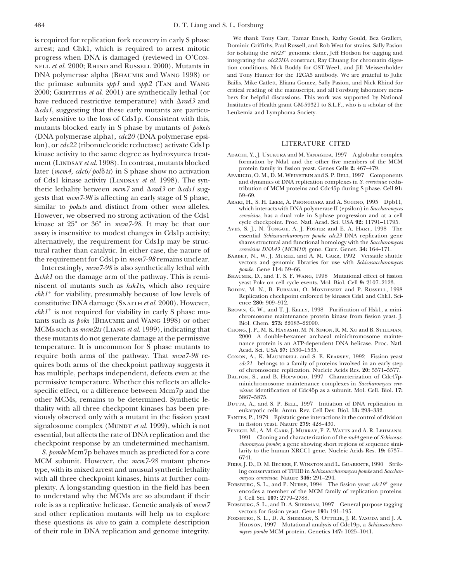*rad3* and - - Institutes of Health grant GM-59321 to S.L.F., who is a scholar of the - *cds1*, suggesting that these early mutants are particu-<br> *cultemia and Lymphoma Society*. larly sensitive to the loss of Cds1p. Consistent with this, mutants blocked early in S phase by mutants of *polts* (DNA polymerase alpha), *cdc20* (DNA polymerase epsilon), or  $cdc22$  (ribonucleotide reductase) activate Cds1p LITERATURE CITED kinase activity to the same degree as hydroxyurea treat- Adachi, Y., J. Usukura and M. Yanagida, 1997 A globular complex ment (LINDSAY *et al.* 1998). In contrast, mutants blocked formation by Nda1 and the other five members of the MCMM later (www.4,  $d_{\text{C}}(k_1/8, k)$ ) in  $\mathcal{S}$  where there are a stimption later (*mcm4*,  $\frac{cdc6}{pol\delta}$ *ts*) in S phase show no activation of Cds1 kinase activity (LINDSAY et al. 1998). The syn-<br>of Cds1 kinase activity (LINDSAY et al. 1998). The syn-<br>and dynamics of DNA replication complexes in S. cerevisiae: redisthetic lethality between  $\textit{mem7}$  and  $\Delta \textit{rad3}$  or  $\Delta$ gests that mcm7-98 is affecting an early stage of S phase,<br>similar to polots and distinct from other mcm alleles.<br>which interacts with DNA polymerase II (epsilon) in Saccharomyces However, we observed no strong activation of the Cds1 *cerevisiae*, has a dual role in S-phase progression and at a cell<br>kinase at 95° or 36° in mcm7-98. It may be that our cycle checkpoint. Proc. Natl. Acad. Sci. USA 92: kinase at 25° or 36° in mcm7-98. It may be that our eycle checkpoint. Proc. Natl. Acad. Sci. USA 92: 11791-11795.<br>assay is insensitive to modest changes in Cds1p activity; AVES, S. J., N. TONGUE, A. J. FOSTER and E. A. HAR alternatively, the requirement for Cds1p may be struc-<br>
tural rather than catalytic In either case, the nature of *cervisiae DNA43 (MCM10)* gene. Curr. Genet. **34:** 164–171.

 $\Delta chk1$  on the damage arm of the pathway. This is remi-<br>BHAUMIK, D., and T. S. F. WANG, 1998 Mutational effect of fission miscent of mutants such as  $hshlls$ , which also require<br>  $chkl^+$  for viability, presumably because of low levels of<br>  $chkl^+$  for viability, presumably because of low levels of<br>  $chkl^+$  for viability, presumably because of low constitutive DNA damage (SNAITH *et al.* 2000). However, ence 280: 909–912.<br>
chk1<sup>+</sup> is not required for viability in early S phase mu<sub>r</sub> BROWN, G. W., and T. J. KELLY, 1998 Purification of Hsk1, a mini $chkl^+$  is not required for viability in early S phase mu-<br>tants such as  $p_0$ la (BHAUMIK and WANG 1998) or other<br>MCMs such as  $mcm2ts$  (LIANG *et al.* 1999), indicating that CHONG, J. P., M. K. HAYASHI, M. N. SIMON, R. M. X MCMs such as  $mcm2ts$  (LIANG *et al.* 1999), indicating that CHONG, J. P., M. K. HAYASHI, M. N. SIMON, R. M. XU and B. STILLMAN, these mutants do not generate damage at the permissive 2000 A double-hexamer archaeal minichrom these mutants do not generate damage at the permissive and the semi-temperature. It is uncommon for S phase mutants to<br>temperature. It is uncommon for S phase mutants to<br>require both arms of the pathway. That  $mcm$ 7-98 rec quires both arms of the checkpoint pathway suggests it  $dc21^+$  belongs to a family of proteins involved in an early step<br>of chromosome replication. Nucleic Acids Res. 20: 5571–5577. has multiple, perhaps independent, defects even at the<br>permissive temperature. Whether this reflects an allele-<br>specific effect. or a difference between Mcm<sup>7</sup>D and the<br>specific effect. or a difference between Mcm<sup>7</sup>D and specific effect, or a difference between Mcm7p and the *visiae*: identification of CM<sub>5</sub> as a subunity. Mol. Cell. Biol. **17:** other MCMs, remains to be determined. Synthetic le-<br>thality with all three checkpoint kinases has been pre-<br>thality with all three checkpoint kinases has been pre-<br>eukaryotic cells. Annu. Rev. Cell Dev. Biol. 13: 293–332. viously observed only with a mutant in the fission yeast FANTES, P., 1979 Epistatic gene interactions in the control of division signal osome complex (MUNDT *et al.* 1999) which is not in fission yeast. Nature 279: 428–430 signalosome complex (MUNDT *et al.* 1999), which is not<br>essential, but affects the rate of DNA replication and the<br>checkpoint response by an undetermined mechanism.<br> $1991$  Cloning and characterization of the *rad4* gene of

S. pombe Mcm7p behaves much as predicted for a core<br>MCM subunit. However, the mcm7-98 mutant pheno-<br>type, with its mixed arrest and unusual synthetic lethality<br>type, with its mixed arrest and unusual synthetic lethality<br>ty type, with its mixed arrest and unusual synthetic lethality in *g*onservation of TFIID in *Schizosaccharom* is and *Schizosaccharomyces cerevisiae*. Nature **346:** 291–294. with all three checkpoint kinases, hints at further com-<br> **omyces cerevisiae.** Nature **346:** 291–294.<br> **FORSBURG, S. L., and P. NURSE, 1994** The fission yeast *cdc19*<sup>+</sup> gene plexity. A long-standing question in the field has been<br>to understand why the MCMs are so abundant if their<br>role is as a replicative helicase. Genetic analysis of mcm<sup>7</sup> FORSBURG, S. L., and P. NURSE, 1994 The nsson yeast role is as a replicative helicase. Genetic analysis of  $mcm$ <sup>7</sup> For For SBURG, S. L., and D. A. SHERMAN, 1997 Gene<br>and other replication mutants will below to explore vectors for fission yeast. Gene 191: 191–195. and other replication mutants will help us to explore<br>these questions *in vivo* to gain a complete description<br>Hopson, 1997 Mutational analysis of Cdc19p, a *Schizosaccharo*-<br>Hopson, 1997 Mutational analysis of Cdc19p, a of their role in DNA replication and genome integrity. *myces pombe* MCM protein. Genetics **147:** 1025–1041.

is required for replication fork recovery in early S phase Theorem are Enech, Kathy Gould, Bea Grallert,<br>arrest; and Chk1, which is required to arrest mitotic Dominic Griffiths, Paul Russell, and Rob West for strains, Sal nell *et al.* 2000; RHIND and RUSSELL 2000). Mutants in tion conditions, Nick Boddy for GST-Wee1, and Jill Meissenholder<br>DNA polymerase alpha (BHAUMIK and WANG 1998) or and Tony Hunter for the 12CA5 antibody. We are gratef DNA polymerase alpha (BHAUMIK and WANG 1998) or and Tony Hunter for the 12CA5 antibody. We are grateful to Julie<br>the primase subunits shall and shall Canal Wang Bailis, Mike Catlett, Eliana Gomez, Sally Pasion, and Nick Rh the primase subunits *spp1* and *spp2* (TAN and WANG Bailis, Mike Catlett, Eliana Gomez, Sally Pasion, and Nick Rhind for the primase subunits *spp1* and *spp2* (TAN and WANG critical reading of the manuscript, and all For 2000; GRIFFITHS *et al.* 2001) are synthetically lethal (or critical reading of the manuscript, and all Forsburg laboratory mem-<br>have reduced restrictive temperature) with  $\Delta rad3$  and Institutes of Health grant GM-59321 to

- 
- tribution of MCM proteins and Cdc45p during S phase. Cell **91:**<br>59–69
- 
- 
- tural rather than catalytic. In either case, the nature of the requirement for Cds1p in mcm7-98 remains unclear.<br>
The requirement for Cds1p in mcm7-98 remains unclear.<br>
Interestingly, mcm7-98 is also synthetically lethal w
	-
	-
	-
	-
	- COXON, A., K. MAUNDRELL and S. E. KEARSEY, 1992 Fission yeast  $cdc21<sup>+</sup>$  belongs to a family of proteins involved in an early step
	-
	-
	-
- checkpoint response by an undetermined mechanism.<br> *charomyces pombe*; a gene showing short regions of sequence simi-<br> *S. bombe* Mcm7n behaves much as predicted for a core<br>
larity to the human XRCC1 gene. Nucleic Acids Re
	-
	-
	-
	-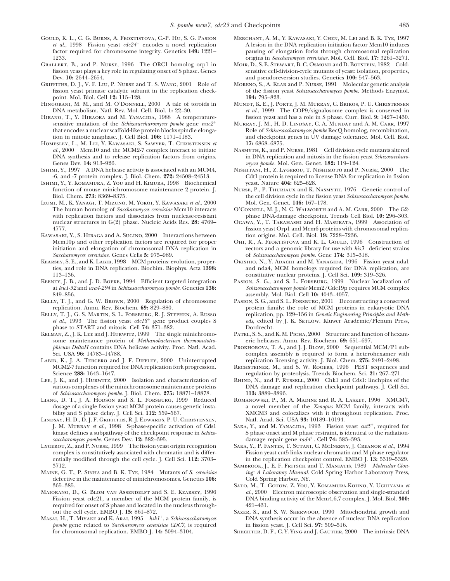- Gould, K. L., C. G. Burns, A. Feoktistova, C.-P. Hu, S. G. Pasion Merchant, A. M., Y. Kawasaki, Y. Chen, M. Lei and B. K. Tye, 1997
- fission yeast plays a key role in regulating onset of S phase. Genes Dev.  $10: 2644-2654$ .
- GRIFFITHS, D. J., V. F. LIU, P. NURSE and T. S. WANG, 2001 Role of MORENO, S., A. KLAR and P. NURSE, 1991 Molecular genetic analysis fission yeast primase catalytic subunit in the replication check-<br>of the fission yeast *S* fission yeast primase catalytic subunit in the replication check- of the fission point. Mol. Biol. Cell 12: 115–128. **194:** 795–823. point. Mol. Biol. Cell 12: 115–128.<br>**HINGORANI, M. M., and M. O'DONNELL, 2000** A tale of toroids in
- 
- ANO, T., Y. HIRAOKA and M. YANAGIDA, 1988 A temperature-<br>
sensitive mutation of the *Schizosaccharomyces pombe* gene  $nu2^+$  MURRAY, J. M., H. D. LINDSAY, C. A. MUNDAY and A. M. CARR, 1997 that encodes a nuclear scaffold-like protein blocks spindle elongation in mitotic anaphase. J. Cell Biol. **106:** 1171–1183.
- HOMESLEY, L., M. LEI, Y. KAWASAKI, S. SAWYER, T. CHRISTENSEN *et al.*, 2000 Mcm10 and the MCM2-7 complex interact to initiate DNA synthesis and to release replication factors from origins.<br>Genes Dev. **14:** 913–926.
- ISHIMI, Y., 1997 A DNA helicase activity is associated with an MCM4, -6, and -7 protein complex. J. Biol. Chem. 272: 24508-24513.
- Ishimi, Y., Y. Komamura, Z. You and H. Kimura, 1998 Biochemical yeast. Nature **404:** 625–628. function of mouse minichromosome maintenance 2 protein. J. Nurse, P., P. Thuriaux and K. NasmyTH, 1976 Genetic control of the cell division cycle in the fission yeast *Schizosaccharomyces pombe*.
- Izumi, M., K. Yanagi, T. Mizuno, M. Yokoi, Y. Kawasaki *et al.*, 2000 Mol. Gen. Genet. **146:** 167–178. The human homolog of *Saccharomyces cerevisiae* Mcm10 interacts with replication factors and dissociates from nuclease-resistant with replication factors and dissociates from nuclease-resistant phase DNA-damage checkpoint. Trends Cell Biol. 10: 296–303.<br>
nuclear structures in G(2) phase. Nucleic Acids Res. 28: 4769- OGAWA, Y., T. TAKAHASHI and H. MA nuclear structures in G(2) phase. Nucleic Acids Res. 28: 4769–<br>
GGAWA, Y., T. TAKAHASHI and H. MASUKATA, 1999 Association of<br>
fission veast Orp1 and Mcm6 proteins with chromosomal replica-
- KAWASAKI, Y., S. HIRAGA and A. SUGINO, 2000 Interactions between initiation and elongation of chromosomal DNA replication in
- ties, and role in DNA replication. Biochim. Biophys. Acta 1398: 113-136.
- at *leu1-32* and *ura4-294* in *Schizosaccharomyces pombe*. Genetics 136: 849–856. assembly. Mol. Biol. Cell **10:** 4043–4057.
- KELLY, T. J., and G. W. BROWN, 2000 Regulation of chromosome replication. Annu. Rev. Biochem. 69: 829–880.
- *et al.*, 1993 The fission yeast *cdc18*<sup>+</sup> gene product couples S *ods*, edited phase to START and mitosis. Cell **74:** 371–382. Dordrecht.
- KELMAN, Z., J. K. LEE and J. HURWITZ, 1999 The single minichromo-<br>some maintenance protein of *Methanobacterium thermoautotro* eric helicases. Annu. Rev. Biochem. 69: 651–697. some maintenance protein of *Methanobacterium thermoautotro-*<br>phicum DeltaH contains DNA helicase activity. Proc. Natl. Acad. *phicum DeltaH* contains DNA helicase activity. Proc. Natl. Acad. PROKHOROVA, T. A., and J. J. BLOW, 2000 Sequential MCM/P1 sub-<br>complex assembly is required to form a heterohexamer with
- MCM2-7 function required for DNA replication fork progression.<br>Science 288: 1643-1647.
- Lee, J. K., and J. Hurwitz, 2000 Isolation and characterization of various complexes of the minichromosome maintenance proteins
- LIANG, D. T., J. A. HODSON and S. L. FORSBURG, 1999 Reduced dosage of a single fission yeast MCM protein causes genetic insta-
- LINDSAY, H. D., D. J. F. GRIFFITHS, R. J. EDWARDS, P. U. CHRISTENSEN, Natl. Acad. Sci. USA **93:** 10189–10194.<br>J. M. MURRAY et al., 1998 S-phase-specific activation of Cds1 SAKA, Y., and M. YANAGIDA, 1993 Fission yeast  $cut5$ kinase defines a subpathway of the checkpoint response in *Schizo*damage repair gene *rad4 saccharomyces pombe.* Genes Dev. **12:** 382–395. . Cell **74:** 383–393.
- complex is constitutively associated with chromatin and is differ-<br>
entially modified through the cell cycle. J. Cell Sci. 112: 3703-<br>
in the replication checkpoint control. EMBO J. 13: 5319–5329. entially modified through the cell cycle. J. Cell Sci. 112: 3703–3719
- defective in the maintenance of minichromosomes. Genetics 106:
- Maiorano, D., G. Blom van Assendelft and S. E. Kearsey, 1996 required for onset of S phase and located in the nucleus through- out the cell cycle. EMBO J. 15: 861–872.
- Masai, H., T. Miyake and K. Arai, 1995 *hsk1<sup>+</sup>*, a *Schizosaccharomyces* DNA synthesis occur in the absence of *pombe* gene related to *Saccharomyces cerevisiae* CDC7, is required in fission yeast. J. Cell Sci. **97:** 509– *pombe* gene related to *Saccharomyces cerevisiae CDC7*, is required for chromosomal replication. EMBO J. **14:** 3094–3104. Shechter, D. F., C. Y. Ying and J. Gautier, 2000 The intrinsic DNA
- *et al.*, 1998 Fission yeast  $cdc24$ <sup>+</sup> encodes a novel replication<br>
factor required for chromosome integrity. Genetics 149: 1221-<br>
pausing of elongation forks through chromosomal replication pausing of elongation forks through chromosomal replication 1233. origins in *Saccharomyces cerevisiae.* Mol. Cell. Biol. **17:** 3261–3271.
	- MOIR, D., S. E. STEWART, B. C. OSMOND and D. BOTSTEIN, 1982 Cold-<br>sensitive cell-division-cycle mutants of yeast: isolation, properties, and pseudoreversion studies. Genetics 100: 547–563.<br>MORENO, S., A. KLAR and P. NURSE, 1991 Molecular genetic analysis
	-
- GORANI, M. M., and M. O'DONNELL, 2000 A tale of toroids in MUNDT, K. E., J. PORTE, J. M. MURRAY, C. BRIKOS, P. U. CHRISTENSEN<br>DNA metabolism. Natl. Rev. Mol. Cell. Biol. 1: 22–30. *et al.*, 1999 The COP9/signalosome comple DNA metabolism. Natl. Rev. Mol. Cell. Biol. **1:** 22–30. *et al.*, 1999 The COP9/signalosome complex is conserved in HIRANO. T., Y. HIRAOKA and M. YANAGIDA. 1988 A temperature fission veast and has a role in S phase. Curr.
	- MURRAY, J. M., H. D. LINDSAY, C. A. MUNDAY and A. M. CARR, 1997<br>Role of *Schizosaccharomyces pombe* RecQ homolog, recombination, and checkpoint genes in UV damage tolerance. Mol. Cell. Biol. 17: 6868-6875.
	- *Al.* 2000 MASMYTH, K., and P. NURSE, 1981 Cell division cycle mutants altered<br>in DNA replication and mitosis in the fission yeast *Schizosaccharo*myces pombe. Mol. Gen. Genet. 182: 119–124.<br>NISHITANI, H., Z. LYGEROU, T. NISHIMOTO and P. NURSE, 2000 The
	- -6, Cdt1 protein is required to license DNA for replication in fission
	- the cell division cycle in the fission yeast *Schizosaccharomyces pombe*. Mol. Gen. Genet. **146:** 167–178.
	-
	- fission yeast Orp1 and Mcm6 proteins with chromosomal replica-<br>tion origins. Mol. Cell. Biol. 19: 7228-7236.
	- Mcm10p and other replication factors are required for proper OHI, R., A. FEOKTISTOVA and K. L. GOULD, 1996 Construction of initiation and elongation of chromosomal DNA replication in vectors and a genomic library for use *Saccharomyces cerevisiae.* Genes Cells **5:** 975–989. of *Schizosaccharomyces pombe.* Gene **174:** 315–318.
- KEARSEY, S. E., and K. LABIB, 1998 MCM proteins: evolution, proper- OKISHIO, N., Y. ADACHI and M. YANAGIDA, 1996 Fission yeast nda1 ties, and role in DNA replication. Biochim. Biophys. Acta 1398: and nda4, MCM homologs req 113–136. constitutive nuclear proteins. J. Cell Sci. **109:** 319–326.
- KEENEY, J. B., and J. D. BOEKE, 1994 Efficient targeted integration PASION, S. G., and S. L. FORSBURG, 1999 Nuclear localization of at leu1-32 and ura4-294 in Schizosaccharomyces pombe. Genetics 136: Schizosaccharomyces po
- protein family: the role of MCM proteins in eukaryotic DNA replication, pp. 129–156 in *Genetic Engineering Principles and Meth*-KELLY, T. J., G. S. MARTIN, S. L. FORSBURG, R. J. STEPHEN, A. RUSSO<br> *et al.*, 1993 The fission yeast *cdc18<sup>+</sup>* gene product couples S and Meth-<br> *ods*, edited by J. K. SETLOW. Kluwer Academic/Plenum Press, phase to START and mitosis. Cell 74:  $\frac{371-382}{71-382}$ .<br>MAN, Z., J. K. LEE and J. HURWITZ, 1999 The single minichromo-<br>PATEL, S. S., and K. M. PICHA, 2000 Structure and function of hexam-
	-
- Sci. USA **96:** 14783–14788. complex assembly is required to form a heterohexamer with LABIB, K., J. A. TERCERO and J. F. DIFFLEY, 2000 Uninterrupted replication licensing activity. J. Biol. Chem. 275: 2491–2498. replication licensing activity. J. Biol. Chem. **275:** 2491–2498.<br>RECHSTEINER, M., and S. W. ROGERS, 1996 PEST sequences and
	- regulation by proteolysis. Trends Biochem. Sci. 21: 267–271.<br>RHIND, N., and P. RUSSELL, 2000 Chk1 and Cds1: linchpins of the
	- DNA damage and replication checkpoint pathways. J. Cell Sci.
	- of *Schizosaccharomyces pombe.* J. Biol. Chem. **275:** 18871–18878. **113:** 3889–3896. dosage of a single fission yeast MCM protein causes genetic insta-<br>bility and S phase delay. J. Cell Sci. 112: 559–567. XMCM3 and colocalizes with it throughout replication. Proc. KMCM3 and colocalizes with it throughout replication. Proc. Natl. Acad. Sci. USA **93:** 10189–10194.
	- J. M. MURRAY *et al.*, 1998 S-phase-specific activation of Cds1 SAKA, Y., and M. YANAGIDA, 1993 Fission yeast  $cut5^+$ , required for kinase defines a subpathway of the checkpoint response in *Schizo* Sphase onset and M phase
- Lygerou, Z., and P. Nurse, 1999 The fission yeast origin recognition Saka, Y., P. Fantes, T. Sutani, C. McInerny, J. Creanor *et al.*, 1994
- SAMBROOK, J., E. F. FRITSCH and T. MANIATIS, 1989 *Molecular Clon-*Maine, G. T., P. Sinha and B. K. Tye, 1984 Mutants of *S. cerevisiae ing: A Laboratory Manual.* Cold Spring Harbor Laboratory Press,
	- 365–385. Sato, M., T. Gotow, Z. You, Y. Komamura-Kohno, Y. Uchiyama *et* Fission yeast cdc21, a member of the MCM protein family, is DNA binding activity of the Mcm4,6,7 complex. J. Mol. Biol. **300:**<br>required for onset of S phase and located in the nucleus through-<br> $421-431$ .
		- SAZER, S., and S. W. SHERWOOD, 1990 Mitochondrial growth and DNA synthesis occur in the absence of nuclear DNA replication
		-